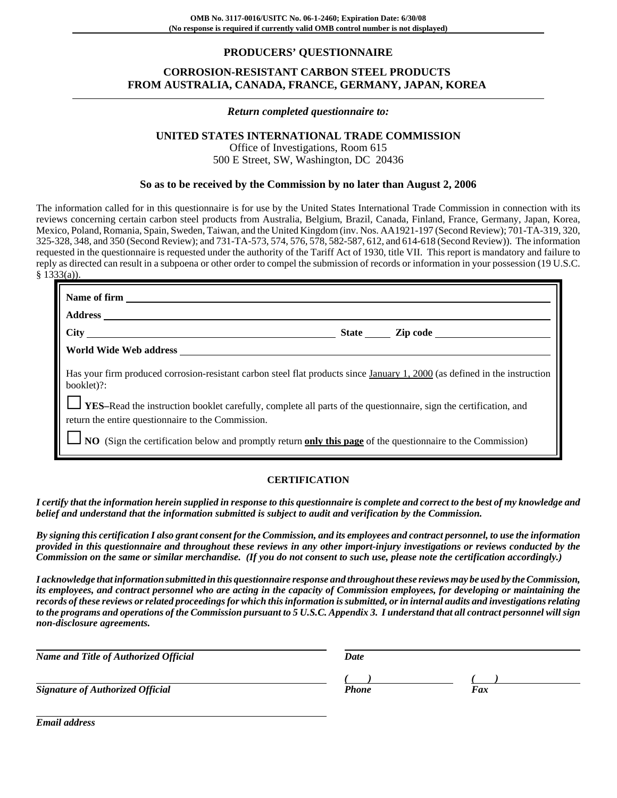## **PRODUCERS' QUESTIONNAIRE**

# **CORROSION-RESISTANT CARBON STEEL PRODUCTS FROM AUSTRALIA, CANADA, FRANCE, GERMANY, JAPAN, KOREA**

#### *Return completed questionnaire to:*

# **UNITED STATES INTERNATIONAL TRADE COMMISSION**

Office of Investigations, Room 615 500 E Street, SW, Washington, DC 20436

### **So as to be received by the Commission by no later than August 2, 2006**

The information called for in this questionnaire is for use by the United States International Trade Commission in connection with its reviews concerning certain carbon steel products from Australia, Belgium, Brazil, Canada, Finland, France, Germany, Japan, Korea, Mexico, Poland, Romania, Spain, Sweden, Taiwan, and the United Kingdom (inv. Nos. AA1921-197 (Second Review); 701-TA-319, 320, 325-328, 348, and 350 (Second Review); and 731-TA-573, 574, 576, 578, 582-587, 612, and 614-618 (Second Review)). The information requested in the questionnaire is requested under the authority of the Tariff Act of 1930, title VII. This report is mandatory and failure to reply as directed can result in a subpoena or other order to compel the submission of records or information in your possession (19 U.S.C. § 1333(a)).

| World Wide Web address                                                                                                                                                        |  |
|-------------------------------------------------------------------------------------------------------------------------------------------------------------------------------|--|
| Has your firm produced corrosion-resistant carbon steel flat products since January 1, 2000 (as defined in the instruction<br>booklet)?:                                      |  |
| <b>VES-Read the instruction booklet carefully, complete all parts of the questionnaire, sign the certification, and</b><br>return the entire questionnaire to the Commission. |  |
| $\Box$ NO (Sign the certification below and promptly return only this page of the questionnaire to the Commission)                                                            |  |

#### **CERTIFICATION**

*I certify that the information herein supplied in response to this questionnaire is complete and correct to the best of my knowledge and belief and understand that the information submitted is subject to audit and verification by the Commission.*

*By signing this certification I also grant consent for the Commission, and its employees and contract personnel, to use the information provided in this questionnaire and throughout these reviews in any other import-injury investigations or reviews conducted by the Commission on the same or similar merchandise. (If you do not consent to such use, please note the certification accordingly.)*

*I acknowledge that information submitted in this questionnaire response and throughout these reviews may be used by the Commission, its employees, and contract personnel who are acting in the capacity of Commission employees, for developing or maintaining the records of these reviews or related proceedings for which this information is submitted, or in internal audits and investigations relating to the programs and operations of the Commission pursuant to 5 U.S.C. Appendix 3. I understand that all contract personnel will sign non-disclosure agreements.*

| Name and Title of Authorized Official   | Date         |     |
|-----------------------------------------|--------------|-----|
| <b>Signature of Authorized Official</b> | <b>Phone</b> | Fax |

*Email address*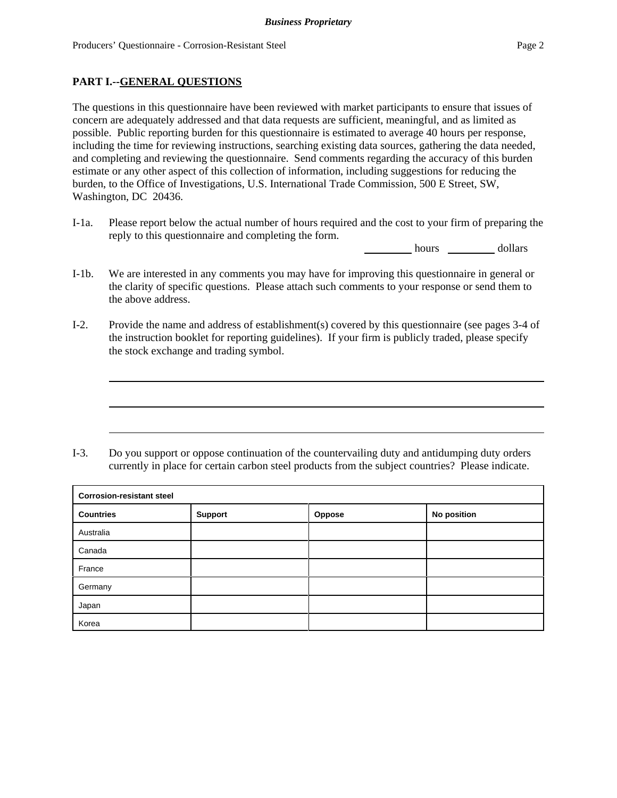## **PART I.--GENERAL QUESTIONS**

The questions in this questionnaire have been reviewed with market participants to ensure that issues of concern are adequately addressed and that data requests are sufficient, meaningful, and as limited as possible. Public reporting burden for this questionnaire is estimated to average 40 hours per response, including the time for reviewing instructions, searching existing data sources, gathering the data needed, and completing and reviewing the questionnaire. Send comments regarding the accuracy of this burden estimate or any other aspect of this collection of information, including suggestions for reducing the burden, to the Office of Investigations, U.S. International Trade Commission, 500 E Street, SW, Washington, DC 20436.

I-1a. Please report below the actual number of hours required and the cost to your firm of preparing the reply to this questionnaire and completing the form.

hours dollars

- I-1b. We are interested in any comments you may have for improving this questionnaire in general or the clarity of specific questions. Please attach such comments to your response or send them to the above address.
- I-2. Provide the name and address of establishment(s) covered by this questionnaire (see pages 3-4 of the instruction booklet for reporting guidelines). If your firm is publicly traded, please specify the stock exchange and trading symbol.

I-3. Do you support or oppose continuation of the countervailing duty and antidumping duty orders currently in place for certain carbon steel products from the subject countries? Please indicate.

| <b>Corrosion-resistant steel</b> |         |        |             |  |
|----------------------------------|---------|--------|-------------|--|
| <b>Countries</b>                 | Support | Oppose | No position |  |
| Australia                        |         |        |             |  |
| Canada                           |         |        |             |  |
| France                           |         |        |             |  |
| Germany                          |         |        |             |  |
| Japan                            |         |        |             |  |
| Korea                            |         |        |             |  |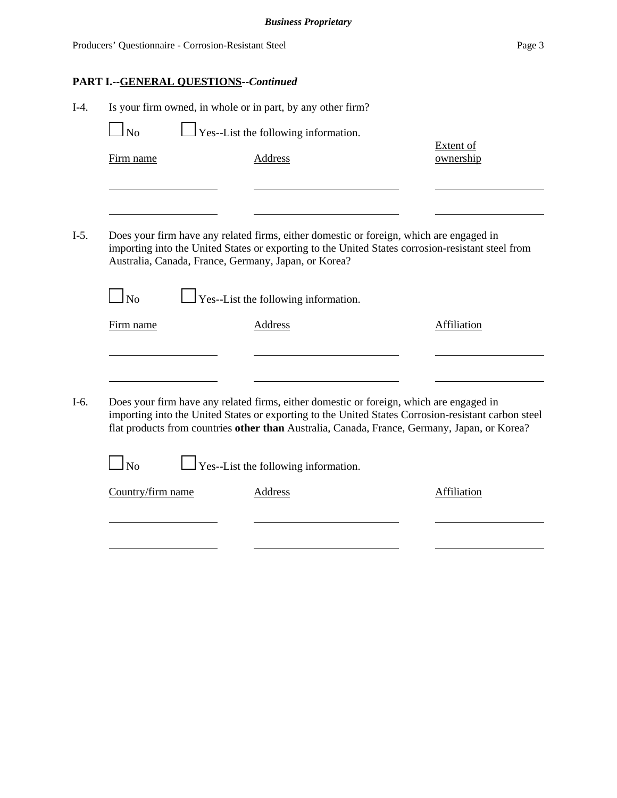| $I-4.$ | Is your firm owned, in whole or in part, by any other firm?<br>N <sub>0</sub><br>Firm name | Yes--List the following information.<br>Address                                                                                                                                                                                                                                                | Extent of<br>ownership |
|--------|--------------------------------------------------------------------------------------------|------------------------------------------------------------------------------------------------------------------------------------------------------------------------------------------------------------------------------------------------------------------------------------------------|------------------------|
| $I-5.$ | Australia, Canada, France, Germany, Japan, or Korea?                                       | Does your firm have any related firms, either domestic or foreign, which are engaged in<br>importing into the United States or exporting to the United States corrosion-resistant steel from                                                                                                   |                        |
|        | $\log$<br>Firm name                                                                        | $\Box$ Yes--List the following information.<br><b>Address</b>                                                                                                                                                                                                                                  | <b>Affiliation</b>     |
| $I-6.$ |                                                                                            | Does your firm have any related firms, either domestic or foreign, which are engaged in<br>importing into the United States or exporting to the United States Corrosion-resistant carbon steel<br>flat products from countries other than Australia, Canada, France, Germany, Japan, or Korea? |                        |
|        | $1_{\rm No}$                                                                               | $\perp$ Yes--List the following information.                                                                                                                                                                                                                                                   |                        |
|        | Country/firm name                                                                          | <b>Address</b>                                                                                                                                                                                                                                                                                 | <b>Affiliation</b>     |
|        |                                                                                            |                                                                                                                                                                                                                                                                                                |                        |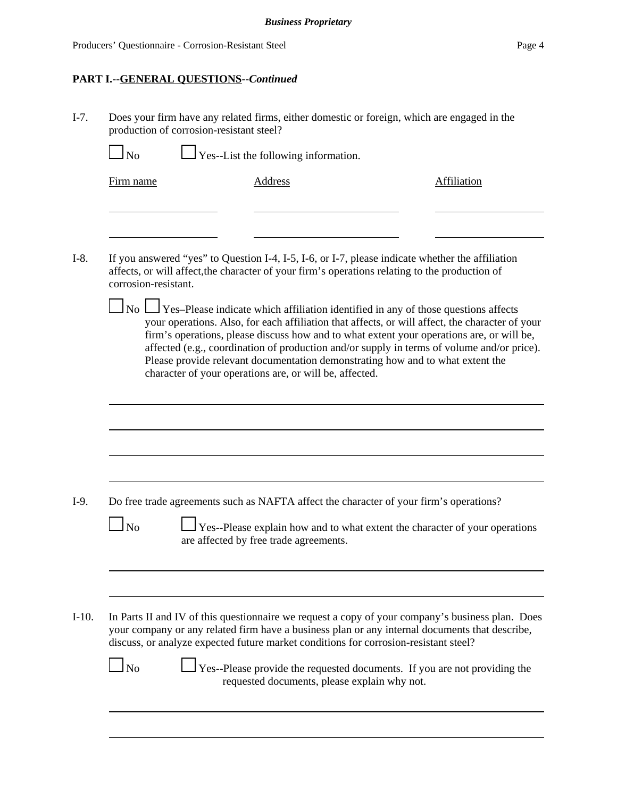# **PART I.--GENERAL QUESTIONS--***Continued*

I-7. Does your firm have any related firms, either domestic or foreign, which are engaged in the production of corrosion-resistant steel?

| Firm name            | <b>Address</b>                                                                                                                                                                                                                                                                                                                                                                                                                                                                                                                                 | <b>Affiliation</b> |
|----------------------|------------------------------------------------------------------------------------------------------------------------------------------------------------------------------------------------------------------------------------------------------------------------------------------------------------------------------------------------------------------------------------------------------------------------------------------------------------------------------------------------------------------------------------------------|--------------------|
| corrosion-resistant. | If you answered "yes" to Question I-4, I-5, I-6, or I-7, please indicate whether the affiliation<br>affects, or will affect, the character of your firm's operations relating to the production of                                                                                                                                                                                                                                                                                                                                             |                    |
|                      | $\Box$ No $\Box$ Yes–Please indicate which affiliation identified in any of those questions affects<br>your operations. Also, for each affiliation that affects, or will affect, the character of your<br>firm's operations, please discuss how and to what extent your operations are, or will be,<br>affected (e.g., coordination of production and/or supply in terms of volume and/or price).<br>Please provide relevant documentation demonstrating how and to what extent the<br>character of your operations are, or will be, affected. |                    |
|                      |                                                                                                                                                                                                                                                                                                                                                                                                                                                                                                                                                |                    |
|                      |                                                                                                                                                                                                                                                                                                                                                                                                                                                                                                                                                |                    |
| N <sub>0</sub>       | Do free trade agreements such as NAFTA affect the character of your firm's operations?<br>Yes--Please explain how and to what extent the character of your operations<br>are affected by free trade agreements.                                                                                                                                                                                                                                                                                                                                |                    |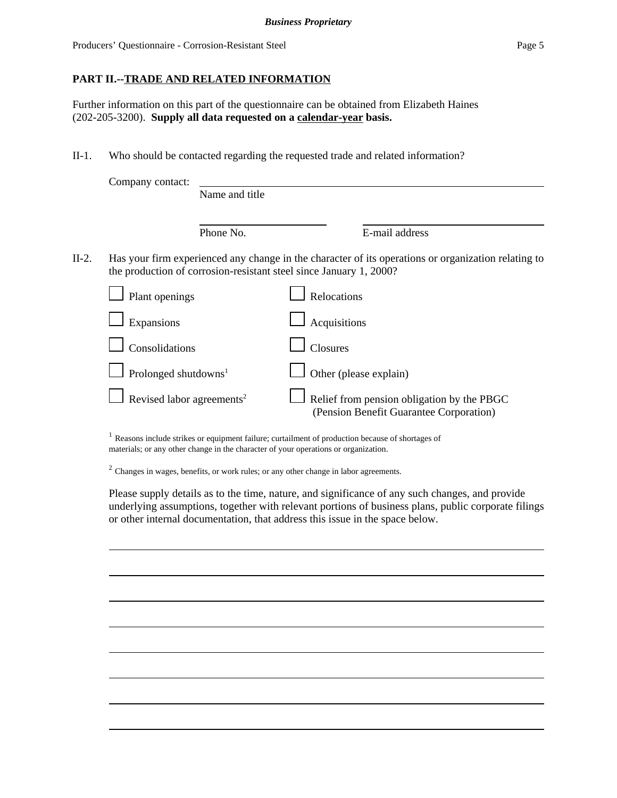Producers' Questionnaire - Corrosion-Resistant Steel Page 5

## **PART II.--TRADE AND RELATED INFORMATION**

Further information on this part of the questionnaire can be obtained from Elizabeth Haines (202-205-3200). **Supply all data requested on a calendar-year basis.**

II-1. Who should be contacted regarding the requested trade and related information?

|            | Name and title   |                                                                                                               |                                                                                                     |
|------------|------------------|---------------------------------------------------------------------------------------------------------------|-----------------------------------------------------------------------------------------------------|
|            | Phone No.        |                                                                                                               | E-mail address                                                                                      |
|            |                  |                                                                                                               | Has your firm experienced any change in the character of its operations or organization relating to |
|            |                  |                                                                                                               | Relocations                                                                                         |
| Expansions |                  |                                                                                                               | Acquisitions                                                                                        |
|            |                  |                                                                                                               | <b>Closures</b>                                                                                     |
|            |                  |                                                                                                               | Other (please explain)                                                                              |
|            |                  |                                                                                                               | Relief from pension obligation by the PBGC<br>(Pension Benefit Guarantee Corporation)               |
|            | Company contact: | Plant openings<br>Consolidations<br>Prolonged shutdowns <sup>1</sup><br>Revised labor agreements <sup>2</sup> | the production of corrosion-resistant steel since January 1, 2000?                                  |

<sup>1</sup> Reasons include strikes or equipment failure; curtailment of production because of shortages of materials; or any other change in the character of your operations or organization.

<sup>2</sup> Changes in wages, benefits, or work rules; or any other change in labor agreements.

Please supply details as to the time, nature, and significance of any such changes, and provide underlying assumptions, together with relevant portions of business plans, public corporate filings or other internal documentation, that address this issue in the space below.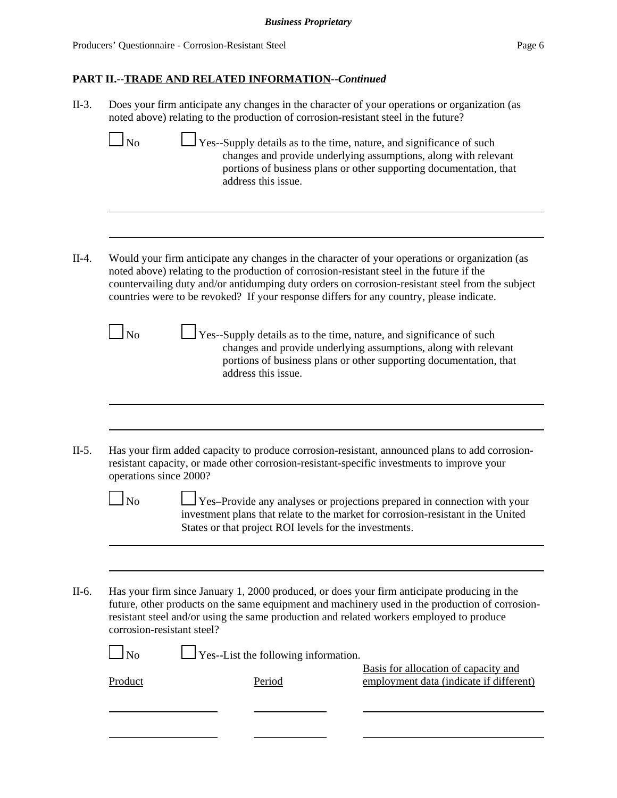| N <sub>o</sub>         | noted above) relating to the production of corrosion-resistant steel in the future?<br>address this issue.                                                                            | Yes--Supply details as to the time, nature, and significance of such<br>changes and provide underlying assumptions, along with relevant<br>portions of business plans or other supporting documentation, that                                                                                                                                                                                                                                                            |
|------------------------|---------------------------------------------------------------------------------------------------------------------------------------------------------------------------------------|--------------------------------------------------------------------------------------------------------------------------------------------------------------------------------------------------------------------------------------------------------------------------------------------------------------------------------------------------------------------------------------------------------------------------------------------------------------------------|
|                        | noted above) relating to the production of corrosion-resistant steel in the future if the<br>countries were to be revoked? If your response differs for any country, please indicate. | Would your firm anticipate any changes in the character of your operations or organization (as<br>countervailing duty and/or antidumping duty orders on corrosion-resistant steel from the subject                                                                                                                                                                                                                                                                       |
| N <sub>o</sub>         |                                                                                                                                                                                       | Yes--Supply details as to the time, nature, and significance of such<br>changes and provide underlying assumptions, along with relevant                                                                                                                                                                                                                                                                                                                                  |
|                        | address this issue.                                                                                                                                                                   | portions of business plans or other supporting documentation, that                                                                                                                                                                                                                                                                                                                                                                                                       |
| operations since 2000? |                                                                                                                                                                                       | resistant capacity, or made other corrosion-resistant-specific investments to improve your                                                                                                                                                                                                                                                                                                                                                                               |
| $\overline{\text{No}}$ | States or that project ROI levels for the investments.                                                                                                                                | investment plans that relate to the market for corrosion-resistant in the United                                                                                                                                                                                                                                                                                                                                                                                         |
|                        | corrosion-resistant steel?                                                                                                                                                            | Has your firm added capacity to produce corrosion-resistant, announced plans to add corrosion-<br>Yes-Provide any analyses or projections prepared in connection with your<br>Has your firm since January 1, 2000 produced, or does your firm anticipate producing in the<br>future, other products on the same equipment and machinery used in the production of corrosion-<br>resistant steel and/or using the same production and related workers employed to produce |
| N <sub>o</sub>         | Yes--List the following information.                                                                                                                                                  | Basis for allocation of capacity and                                                                                                                                                                                                                                                                                                                                                                                                                                     |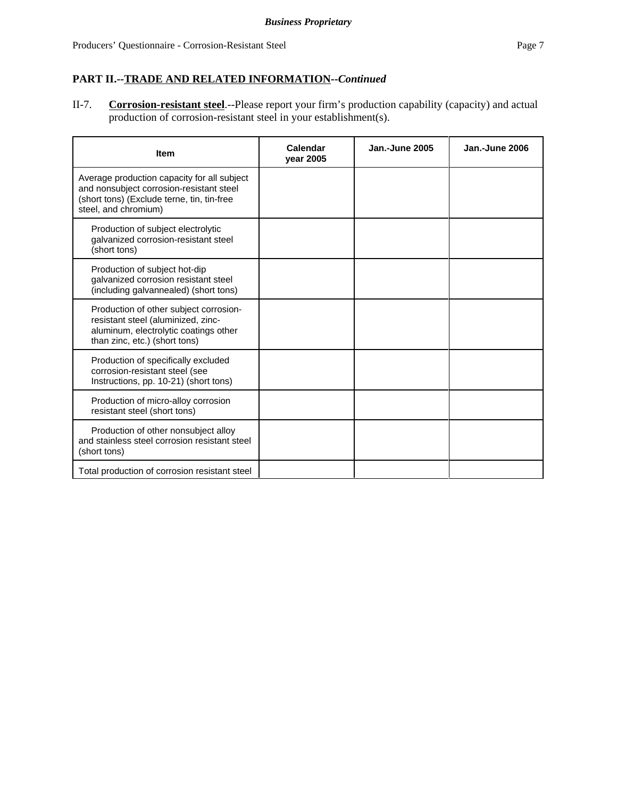II-7. **Corrosion-resistant steel**.--Please report your firm's production capability (capacity) and actual production of corrosion-resistant steel in your establishment(s).

| <b>Item</b>                                                                                                                                                   | Calendar<br>vear 2005 | <b>Jan.-June 2005</b> | Jan.-June 2006 |
|---------------------------------------------------------------------------------------------------------------------------------------------------------------|-----------------------|-----------------------|----------------|
| Average production capacity for all subject<br>and nonsubject corrosion-resistant steel<br>(short tons) (Exclude terne, tin, tin-free<br>steel, and chromium) |                       |                       |                |
| Production of subject electrolytic<br>galvanized corrosion-resistant steel<br>(short tons)                                                                    |                       |                       |                |
| Production of subject hot-dip<br>galvanized corrosion resistant steel<br>(including galvannealed) (short tons)                                                |                       |                       |                |
| Production of other subject corrosion-<br>resistant steel (aluminized, zinc-<br>aluminum, electrolytic coatings other<br>than zinc, etc.) (short tons)        |                       |                       |                |
| Production of specifically excluded<br>corrosion-resistant steel (see<br>Instructions, pp. 10-21) (short tons)                                                |                       |                       |                |
| Production of micro-alloy corrosion<br>resistant steel (short tons)                                                                                           |                       |                       |                |
| Production of other nonsubject alloy<br>and stainless steel corrosion resistant steel<br>(short tons)                                                         |                       |                       |                |
| Total production of corrosion resistant steel                                                                                                                 |                       |                       |                |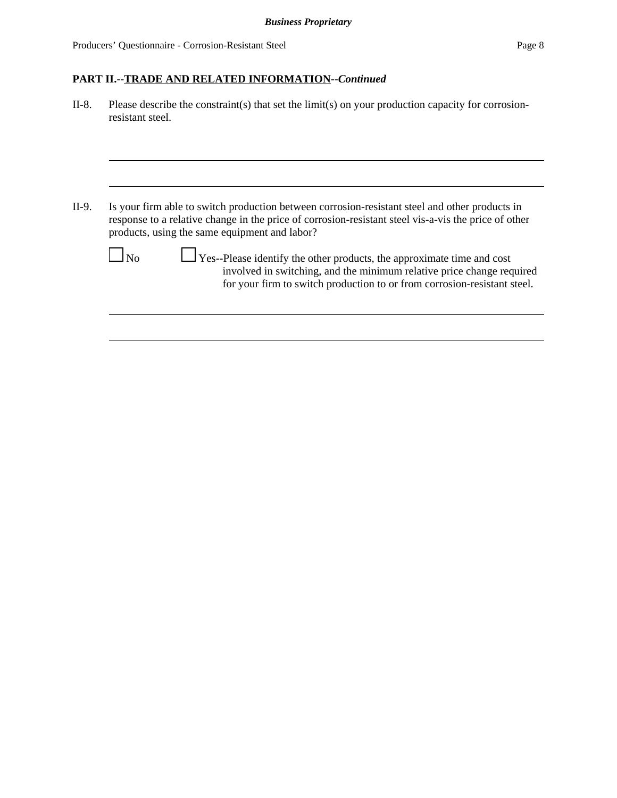II-8. Please describe the constraint(s) that set the limit(s) on your production capacity for corrosionresistant steel.

II-9. Is your firm able to switch production between corrosion-resistant steel and other products in response to a relative change in the price of corrosion-resistant steel vis-a-vis the price of other products, using the same equipment and labor?

 No Yes--Please identify the other products, the approximate time and cost involved in switching, and the minimum relative price change required for your firm to switch production to or from corrosion-resistant steel.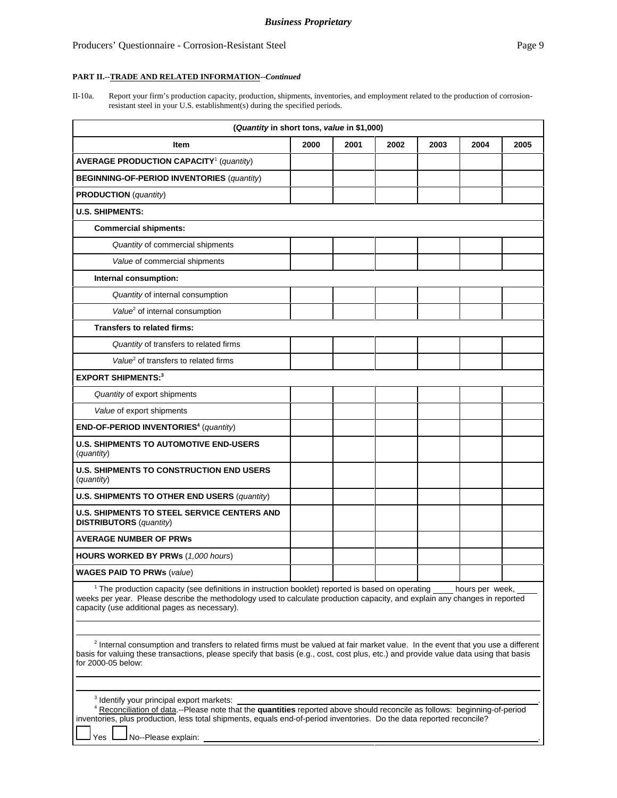## Producers' Questionnaire - Corrosion-Resistant Steel Page 9

#### **PART II.--TRADE AND RELATED INFORMATION--***Continued*

II-10a. Report your firm's production capacity, production, shipments, inventories, and employment related to the production of corrosionresistant steel in your U.S. establishment(s) during the specified periods.

| (Quantity in short tons, value in \$1,000)                                                                                                                                                                                                                                                                                                                                                                                                                                                                                                                                                                                   |      |      |      |      |      |      |
|------------------------------------------------------------------------------------------------------------------------------------------------------------------------------------------------------------------------------------------------------------------------------------------------------------------------------------------------------------------------------------------------------------------------------------------------------------------------------------------------------------------------------------------------------------------------------------------------------------------------------|------|------|------|------|------|------|
| Item                                                                                                                                                                                                                                                                                                                                                                                                                                                                                                                                                                                                                         | 2000 | 2001 | 2002 | 2003 | 2004 | 2005 |
| <b>AVERAGE PRODUCTION CAPACITY<sup>1</sup></b> (quantity)                                                                                                                                                                                                                                                                                                                                                                                                                                                                                                                                                                    |      |      |      |      |      |      |
| <b>BEGINNING-OF-PERIOD INVENTORIES (quantity)</b>                                                                                                                                                                                                                                                                                                                                                                                                                                                                                                                                                                            |      |      |      |      |      |      |
| <b>PRODUCTION</b> (quantity)                                                                                                                                                                                                                                                                                                                                                                                                                                                                                                                                                                                                 |      |      |      |      |      |      |
| <b>U.S. SHIPMENTS:</b>                                                                                                                                                                                                                                                                                                                                                                                                                                                                                                                                                                                                       |      |      |      |      |      |      |
| <b>Commercial shipments:</b>                                                                                                                                                                                                                                                                                                                                                                                                                                                                                                                                                                                                 |      |      |      |      |      |      |
| Quantity of commercial shipments                                                                                                                                                                                                                                                                                                                                                                                                                                                                                                                                                                                             |      |      |      |      |      |      |
| Value of commercial shipments                                                                                                                                                                                                                                                                                                                                                                                                                                                                                                                                                                                                |      |      |      |      |      |      |
| Internal consumption:                                                                                                                                                                                                                                                                                                                                                                                                                                                                                                                                                                                                        |      |      |      |      |      |      |
| Quantity of internal consumption                                                                                                                                                                                                                                                                                                                                                                                                                                                                                                                                                                                             |      |      |      |      |      |      |
| Value <sup>2</sup> of internal consumption                                                                                                                                                                                                                                                                                                                                                                                                                                                                                                                                                                                   |      |      |      |      |      |      |
| <b>Transfers to related firms:</b>                                                                                                                                                                                                                                                                                                                                                                                                                                                                                                                                                                                           |      |      |      |      |      |      |
| Quantity of transfers to related firms                                                                                                                                                                                                                                                                                                                                                                                                                                                                                                                                                                                       |      |      |      |      |      |      |
| Value <sup>2</sup> of transfers to related firms                                                                                                                                                                                                                                                                                                                                                                                                                                                                                                                                                                             |      |      |      |      |      |      |
| <b>EXPORT SHIPMENTS:3</b>                                                                                                                                                                                                                                                                                                                                                                                                                                                                                                                                                                                                    |      |      |      |      |      |      |
| Quantity of export shipments                                                                                                                                                                                                                                                                                                                                                                                                                                                                                                                                                                                                 |      |      |      |      |      |      |
| Value of export shipments                                                                                                                                                                                                                                                                                                                                                                                                                                                                                                                                                                                                    |      |      |      |      |      |      |
| END-OF-PERIOD INVENTORIES <sup>4</sup> (quantity)                                                                                                                                                                                                                                                                                                                                                                                                                                                                                                                                                                            |      |      |      |      |      |      |
| <b>U.S. SHIPMENTS TO AUTOMOTIVE END-USERS</b><br>(quantity)                                                                                                                                                                                                                                                                                                                                                                                                                                                                                                                                                                  |      |      |      |      |      |      |
| <b>U.S. SHIPMENTS TO CONSTRUCTION END USERS</b><br>(quantity)                                                                                                                                                                                                                                                                                                                                                                                                                                                                                                                                                                |      |      |      |      |      |      |
| U.S. SHIPMENTS TO OTHER END USERS (quantity)                                                                                                                                                                                                                                                                                                                                                                                                                                                                                                                                                                                 |      |      |      |      |      |      |
| <b>U.S. SHIPMENTS TO STEEL SERVICE CENTERS AND</b><br><b>DISTRIBUTORS</b> ( <i>quantity</i> )                                                                                                                                                                                                                                                                                                                                                                                                                                                                                                                                |      |      |      |      |      |      |
| <b>AVERAGE NUMBER OF PRWs</b>                                                                                                                                                                                                                                                                                                                                                                                                                                                                                                                                                                                                |      |      |      |      |      |      |
| <b>HOURS WORKED BY PRWs (1,000 hours)</b>                                                                                                                                                                                                                                                                                                                                                                                                                                                                                                                                                                                    |      |      |      |      |      |      |
| <b>WAGES PAID TO PRWs (value)</b>                                                                                                                                                                                                                                                                                                                                                                                                                                                                                                                                                                                            |      |      |      |      |      |      |
| <sup>1</sup> The production capacity (see definitions in instruction booklet) reported is based on operating<br>hours per week,<br>weeks per year. Please describe the methodology used to calculate production capacity, and explain any changes in reported<br>capacity (use additional pages as necessary).<br><sup>2</sup> Internal consumption and transfers to related firms must be valued at fair market value. In the event that you use a different<br>basis for valuing these transactions, please specify that basis (e.g., cost, cost plus, etc.) and provide value data using that basis<br>for 2000-05 below: |      |      |      |      |      |      |
| <sup>3</sup> Identify your principal export markets:<br><sup>4</sup> Reconciliation of data.--Please note that the quantities reported above should reconcile as follows: beginning-of-period<br>inventories, plus production, less total shipments, equals end-of-period inventories. Do the data reported reconcile?<br>No--Please explain:<br>Yes                                                                                                                                                                                                                                                                         |      |      |      |      |      |      |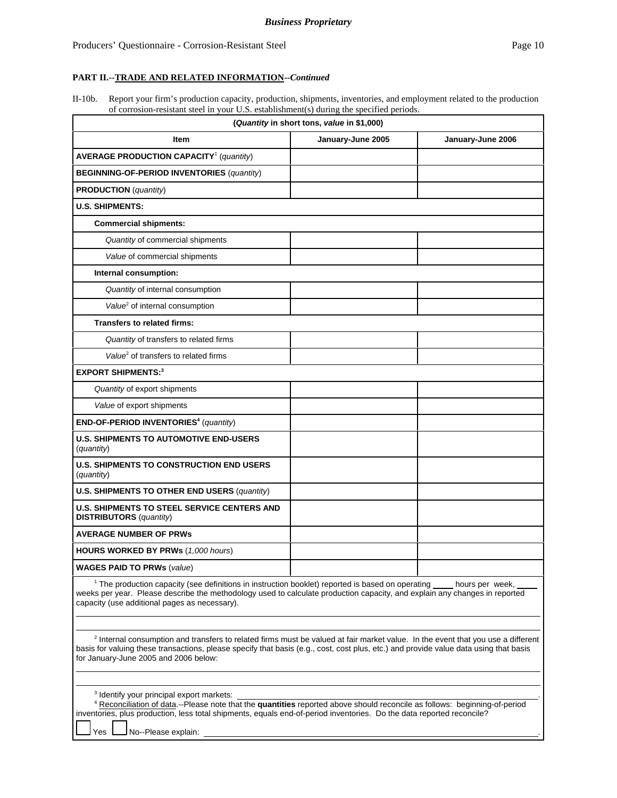| II-10b. Report your firm's production capacity, production, shipments, inventories, and employment related to the production |
|------------------------------------------------------------------------------------------------------------------------------|
| of corrosion-resistant steel in your U.S. establishment(s) during the specified periods.                                     |

| (Quantity in short tons, value in \$1,000)                                                                                                                                                                                                                                                                                    |                   |                   |  |  |
|-------------------------------------------------------------------------------------------------------------------------------------------------------------------------------------------------------------------------------------------------------------------------------------------------------------------------------|-------------------|-------------------|--|--|
| Item                                                                                                                                                                                                                                                                                                                          | January-June 2005 | January-June 2006 |  |  |
| <b>AVERAGE PRODUCTION CAPACITY<sup>1</sup></b> (quantity)                                                                                                                                                                                                                                                                     |                   |                   |  |  |
| <b>BEGINNING-OF-PERIOD INVENTORIES (quantity)</b>                                                                                                                                                                                                                                                                             |                   |                   |  |  |
| <b>PRODUCTION</b> (quantity)                                                                                                                                                                                                                                                                                                  |                   |                   |  |  |
| <b>U.S. SHIPMENTS:</b>                                                                                                                                                                                                                                                                                                        |                   |                   |  |  |
| <b>Commercial shipments:</b>                                                                                                                                                                                                                                                                                                  |                   |                   |  |  |
| Quantity of commercial shipments                                                                                                                                                                                                                                                                                              |                   |                   |  |  |
| Value of commercial shipments                                                                                                                                                                                                                                                                                                 |                   |                   |  |  |
| Internal consumption:                                                                                                                                                                                                                                                                                                         |                   |                   |  |  |
| Quantity of internal consumption                                                                                                                                                                                                                                                                                              |                   |                   |  |  |
| Value <sup>2</sup> of internal consumption                                                                                                                                                                                                                                                                                    |                   |                   |  |  |
| Transfers to related firms:                                                                                                                                                                                                                                                                                                   |                   |                   |  |  |
| Quantity of transfers to related firms                                                                                                                                                                                                                                                                                        |                   |                   |  |  |
| Value <sup>2</sup> of transfers to related firms                                                                                                                                                                                                                                                                              |                   |                   |  |  |
| <b>EXPORT SHIPMENTS:3</b>                                                                                                                                                                                                                                                                                                     |                   |                   |  |  |
| Quantity of export shipments                                                                                                                                                                                                                                                                                                  |                   |                   |  |  |
| Value of export shipments                                                                                                                                                                                                                                                                                                     |                   |                   |  |  |
| END-OF-PERIOD INVENTORIES <sup>4</sup> (quantity)                                                                                                                                                                                                                                                                             |                   |                   |  |  |
| <b>U.S. SHIPMENTS TO AUTOMOTIVE END-USERS</b><br>(quantity)                                                                                                                                                                                                                                                                   |                   |                   |  |  |
| <b>U.S. SHIPMENTS TO CONSTRUCTION END USERS</b><br>(quantity)                                                                                                                                                                                                                                                                 |                   |                   |  |  |
| U.S. SHIPMENTS TO OTHER END USERS (quantity)                                                                                                                                                                                                                                                                                  |                   |                   |  |  |
| <b>U.S. SHIPMENTS TO STEEL SERVICE CENTERS AND</b><br><b>DISTRIBUTORS</b> (quantity)                                                                                                                                                                                                                                          |                   |                   |  |  |
| <b>AVERAGE NUMBER OF PRWS</b>                                                                                                                                                                                                                                                                                                 |                   |                   |  |  |
| <b>HOURS WORKED BY PRWs</b> (1,000 hours)                                                                                                                                                                                                                                                                                     |                   |                   |  |  |
| <b>WAGES PAID TO PRWs (value)</b>                                                                                                                                                                                                                                                                                             |                   |                   |  |  |
| <sup>1</sup> The production capacity (see definitions in instruction booklet) reported is based on operating<br>hours per week,<br>weeks per year. Please describe the methodology used to calculate production capacity, and explain any changes in reported<br>capacity (use additional pages as necessary).                |                   |                   |  |  |
| <sup>2</sup> Internal consumption and transfers to related firms must be valued at fair market value. In the event that you use a different<br>basis for valuing these transactions, please specify that basis (e.g., cost, cost plus, etc.) and provide value data using that basis<br>for January-June 2005 and 2006 below: |                   |                   |  |  |

3 Identify your principal export markets: . 4 Reconciliation of data.--Please note that the **quantities** reported above should reconcile as follows: beginning-of-period inventories, plus production, less total shipments, equals end-of-period inventories. Do the data reported reconcile?

Yes **No--Please** explain: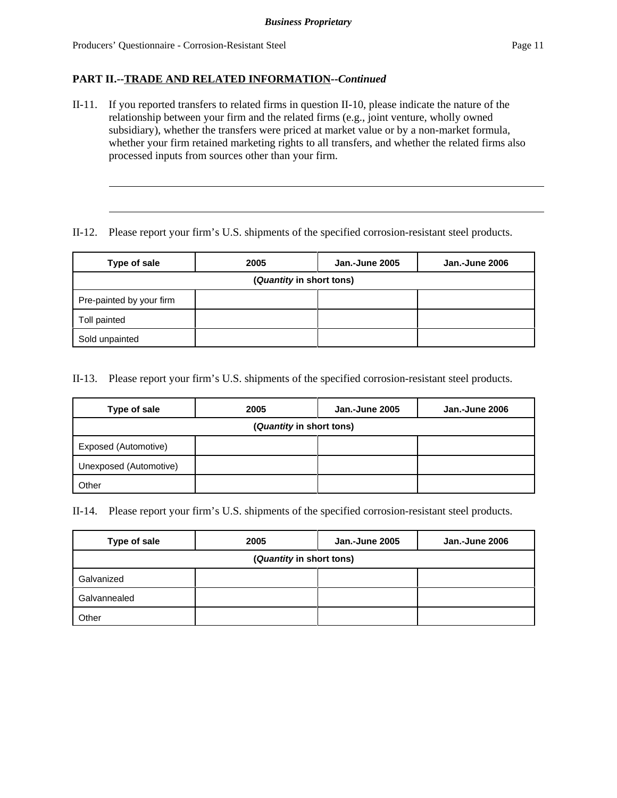II-11. If you reported transfers to related firms in question II-10, please indicate the nature of the relationship between your firm and the related firms (e.g., joint venture, wholly owned subsidiary), whether the transfers were priced at market value or by a non-market formula, whether your firm retained marketing rights to all transfers, and whether the related firms also processed inputs from sources other than your firm.

### II-12. Please report your firm's U.S. shipments of the specified corrosion-resistant steel products.

| Type of sale             | 2005 | <b>Jan.-June 2005</b> | Jan.-June 2006 |  |  |  |  |  |
|--------------------------|------|-----------------------|----------------|--|--|--|--|--|
| (Quantity in short tons) |      |                       |                |  |  |  |  |  |
| Pre-painted by your firm |      |                       |                |  |  |  |  |  |
| Toll painted             |      |                       |                |  |  |  |  |  |
| Sold unpainted           |      |                       |                |  |  |  |  |  |

II-13. Please report your firm's U.S. shipments of the specified corrosion-resistant steel products.

| Type of sale             | 2005 | Jan.-June 2005 | Jan.-June 2006 |  |  |  |  |  |  |
|--------------------------|------|----------------|----------------|--|--|--|--|--|--|
| (Quantity in short tons) |      |                |                |  |  |  |  |  |  |
| Exposed (Automotive)     |      |                |                |  |  |  |  |  |  |
| Unexposed (Automotive)   |      |                |                |  |  |  |  |  |  |
| Other                    |      |                |                |  |  |  |  |  |  |

II-14. Please report your firm's U.S. shipments of the specified corrosion-resistant steel products.

| Type of sale             | 2005 | <b>Jan.-June 2005</b> | <b>Jan.-June 2006</b> |  |  |  |  |  |
|--------------------------|------|-----------------------|-----------------------|--|--|--|--|--|
| (Quantity in short tons) |      |                       |                       |  |  |  |  |  |
| Galvanized               |      |                       |                       |  |  |  |  |  |
| Galvannealed             |      |                       |                       |  |  |  |  |  |
| Other                    |      |                       |                       |  |  |  |  |  |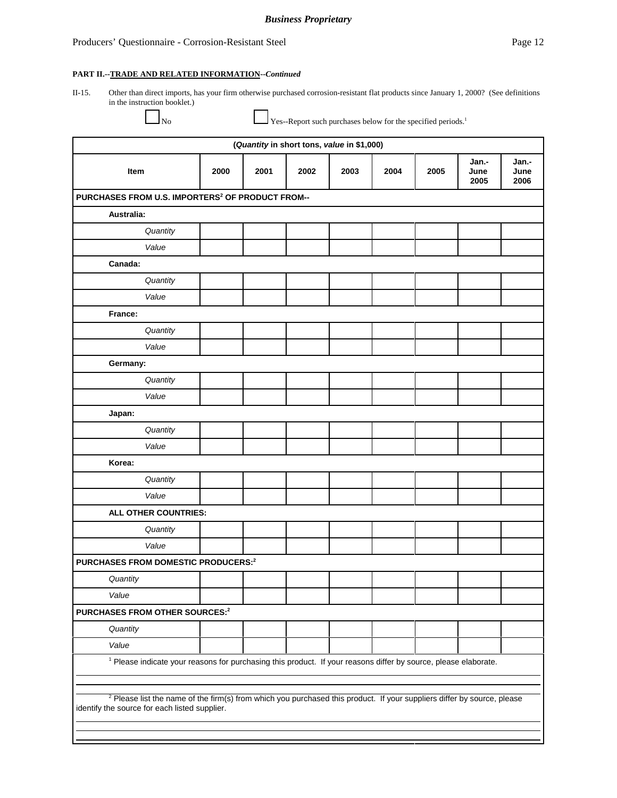#### *Business Proprietary*

#### **PART II.--TRADE AND RELATED INFORMATION--***Continued*

II-15. Other than direct imports, has your firm otherwise purchased corrosion-resistant flat products since January 1, 2000? (See definitions in the instruction booklet.)

 $\Box$  No Yes--Report such purchases below for the specified periods.<sup>1</sup>

| (Quantity in short tons, value in \$1,000)                                                                                                                                          |                                                                                                                            |      |      |      |      |      |                       |                       |
|-------------------------------------------------------------------------------------------------------------------------------------------------------------------------------------|----------------------------------------------------------------------------------------------------------------------------|------|------|------|------|------|-----------------------|-----------------------|
| Item                                                                                                                                                                                | 2000                                                                                                                       | 2001 | 2002 | 2003 | 2004 | 2005 | Jan.-<br>June<br>2005 | Jan.-<br>June<br>2006 |
| PURCHASES FROM U.S. IMPORTERS <sup>2</sup> OF PRODUCT FROM--                                                                                                                        |                                                                                                                            |      |      |      |      |      |                       |                       |
| Australia:                                                                                                                                                                          |                                                                                                                            |      |      |      |      |      |                       |                       |
| Quantity                                                                                                                                                                            |                                                                                                                            |      |      |      |      |      |                       |                       |
| Value                                                                                                                                                                               |                                                                                                                            |      |      |      |      |      |                       |                       |
| Canada:                                                                                                                                                                             |                                                                                                                            |      |      |      |      |      |                       |                       |
| Quantity                                                                                                                                                                            |                                                                                                                            |      |      |      |      |      |                       |                       |
| Value                                                                                                                                                                               |                                                                                                                            |      |      |      |      |      |                       |                       |
| France:                                                                                                                                                                             |                                                                                                                            |      |      |      |      |      |                       |                       |
| Quantity                                                                                                                                                                            |                                                                                                                            |      |      |      |      |      |                       |                       |
| Value                                                                                                                                                                               |                                                                                                                            |      |      |      |      |      |                       |                       |
| Germany:                                                                                                                                                                            |                                                                                                                            |      |      |      |      |      |                       |                       |
| Quantity                                                                                                                                                                            |                                                                                                                            |      |      |      |      |      |                       |                       |
| Value                                                                                                                                                                               |                                                                                                                            |      |      |      |      |      |                       |                       |
| Japan:                                                                                                                                                                              |                                                                                                                            |      |      |      |      |      |                       |                       |
| Quantity                                                                                                                                                                            |                                                                                                                            |      |      |      |      |      |                       |                       |
| Value                                                                                                                                                                               |                                                                                                                            |      |      |      |      |      |                       |                       |
| Korea:                                                                                                                                                                              |                                                                                                                            |      |      |      |      |      |                       |                       |
| Quantity                                                                                                                                                                            |                                                                                                                            |      |      |      |      |      |                       |                       |
| Value                                                                                                                                                                               |                                                                                                                            |      |      |      |      |      |                       |                       |
| ALL OTHER COUNTRIES:                                                                                                                                                                |                                                                                                                            |      |      |      |      |      |                       |                       |
| Quantity                                                                                                                                                                            |                                                                                                                            |      |      |      |      |      |                       |                       |
| Value                                                                                                                                                                               |                                                                                                                            |      |      |      |      |      |                       |                       |
| PURCHASES FROM DOMESTIC PRODUCERS: <sup>2</sup>                                                                                                                                     |                                                                                                                            |      |      |      |      |      |                       |                       |
| Quantity                                                                                                                                                                            |                                                                                                                            |      |      |      |      |      |                       |                       |
| Value                                                                                                                                                                               |                                                                                                                            |      |      |      |      |      |                       |                       |
| PURCHASES FROM OTHER SOURCES:2                                                                                                                                                      |                                                                                                                            |      |      |      |      |      |                       |                       |
| Quantity                                                                                                                                                                            |                                                                                                                            |      |      |      |      |      |                       |                       |
| Value                                                                                                                                                                               |                                                                                                                            |      |      |      |      |      |                       |                       |
|                                                                                                                                                                                     | <sup>1</sup> Please indicate your reasons for purchasing this product. If your reasons differ by source, please elaborate. |      |      |      |      |      |                       |                       |
|                                                                                                                                                                                     |                                                                                                                            |      |      |      |      |      |                       |                       |
| <sup>2</sup> Please list the name of the firm(s) from which you purchased this product. If your suppliers differ by source, please<br>identify the source for each listed supplier. |                                                                                                                            |      |      |      |      |      |                       |                       |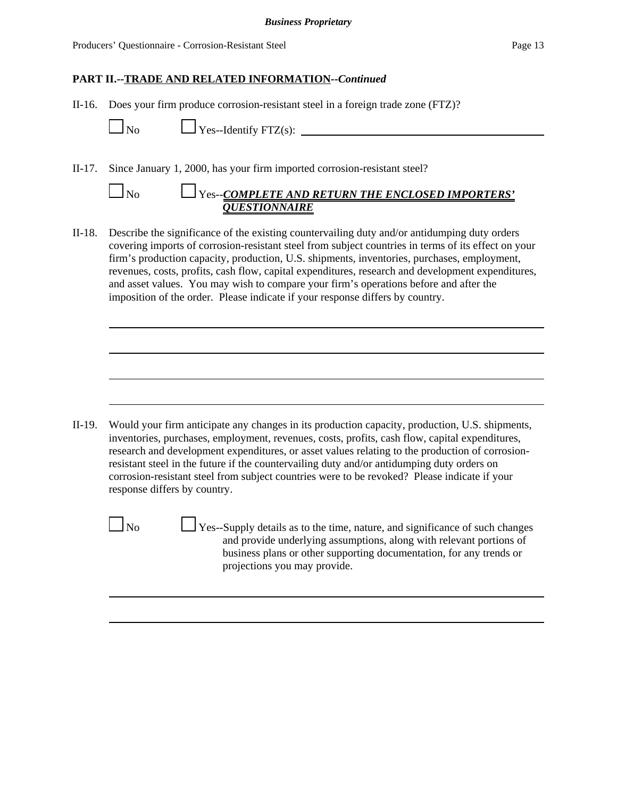II-16. Does your firm produce corrosion-resistant steel in a foreign trade zone (FTZ)?

 $\Box$  No  $\Box$  Yes--Identify FTZ(s):

II-17. Since January 1, 2000, has your firm imported corrosion-resistant steel?

# No Yes--*COMPLETE AND RETURN THE ENCLOSED IMPORTERS' QUESTIONNAIRE*

II-18. Describe the significance of the existing countervailing duty and/or antidumping duty orders covering imports of corrosion-resistant steel from subject countries in terms of its effect on your firm's production capacity, production, U.S. shipments, inventories, purchases, employment, revenues, costs, profits, cash flow, capital expenditures, research and development expenditures, and asset values. You may wish to compare your firm's operations before and after the imposition of the order. Please indicate if your response differs by country.

II-19. Would your firm anticipate any changes in its production capacity, production, U.S. shipments, inventories, purchases, employment, revenues, costs, profits, cash flow, capital expenditures, research and development expenditures, or asset values relating to the production of corrosionresistant steel in the future if the countervailing duty and/or antidumping duty orders on corrosion-resistant steel from subject countries were to be revoked? Please indicate if your response differs by country.

 $\Box$  No  $\Box$  Yes--Supply details as to the time, nature, and significance of such changes and provide underlying assumptions, along with relevant portions of business plans or other supporting documentation, for any trends or projections you may provide.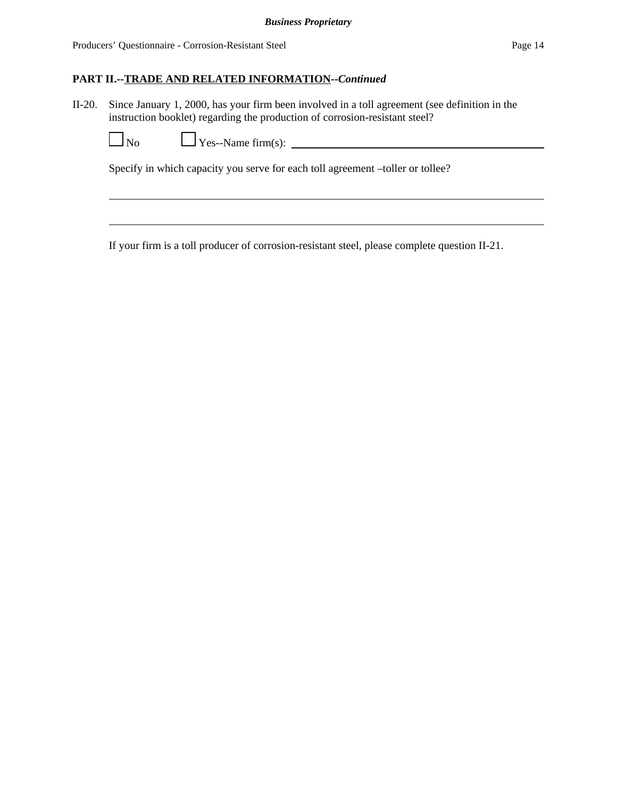II-20. Since January 1, 2000, has your firm been involved in a toll agreement (see definition in the instruction booklet) regarding the production of corrosion-resistant steel?

No Yes--Name firm(s):

Specify in which capacity you serve for each toll agreement –toller or tollee?

If your firm is a toll producer of corrosion-resistant steel, please complete question II-21.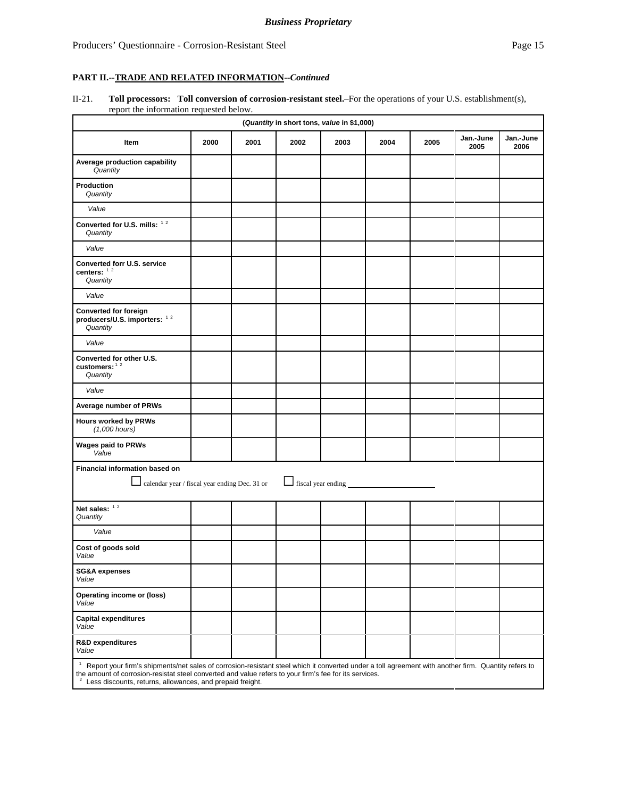#### II-21. **Toll processors: Toll conversion of corrosion-resistant steel.**–For the operations of your U.S. establishment(s), report the information requested below.

| (Quantity in short tons, value in \$1,000)                                      |                                                                                                                                                                                                                                                                                                                                                      |      |      |      |      |      |                   |                   |
|---------------------------------------------------------------------------------|------------------------------------------------------------------------------------------------------------------------------------------------------------------------------------------------------------------------------------------------------------------------------------------------------------------------------------------------------|------|------|------|------|------|-------------------|-------------------|
| Item                                                                            | 2000                                                                                                                                                                                                                                                                                                                                                 | 2001 | 2002 | 2003 | 2004 | 2005 | Jan.-June<br>2005 | Jan.-June<br>2006 |
| Average production capability<br>Quantity                                       |                                                                                                                                                                                                                                                                                                                                                      |      |      |      |      |      |                   |                   |
| Production<br>Quantity                                                          |                                                                                                                                                                                                                                                                                                                                                      |      |      |      |      |      |                   |                   |
| Value                                                                           |                                                                                                                                                                                                                                                                                                                                                      |      |      |      |      |      |                   |                   |
| Converted for U.S. mills: 12<br>Quantity                                        |                                                                                                                                                                                                                                                                                                                                                      |      |      |      |      |      |                   |                   |
| Value                                                                           |                                                                                                                                                                                                                                                                                                                                                      |      |      |      |      |      |                   |                   |
| Converted forr U.S. service<br>centers: $12$<br>Quantity                        |                                                                                                                                                                                                                                                                                                                                                      |      |      |      |      |      |                   |                   |
| Value                                                                           |                                                                                                                                                                                                                                                                                                                                                      |      |      |      |      |      |                   |                   |
| <b>Converted for foreign</b><br>producers/U.S. importers: 12<br>Quantity        |                                                                                                                                                                                                                                                                                                                                                      |      |      |      |      |      |                   |                   |
| Value                                                                           |                                                                                                                                                                                                                                                                                                                                                      |      |      |      |      |      |                   |                   |
| Converted for other U.S.<br>customers: $12$<br>Quantity                         |                                                                                                                                                                                                                                                                                                                                                      |      |      |      |      |      |                   |                   |
| Value                                                                           |                                                                                                                                                                                                                                                                                                                                                      |      |      |      |      |      |                   |                   |
| Average number of PRWs                                                          |                                                                                                                                                                                                                                                                                                                                                      |      |      |      |      |      |                   |                   |
| <b>Hours worked by PRWs</b><br>$(1,000$ hours)                                  |                                                                                                                                                                                                                                                                                                                                                      |      |      |      |      |      |                   |                   |
| <b>Wages paid to PRWs</b><br>Value                                              |                                                                                                                                                                                                                                                                                                                                                      |      |      |      |      |      |                   |                   |
| Financial information based on<br>calendar year / fiscal year ending Dec. 31 or |                                                                                                                                                                                                                                                                                                                                                      |      |      |      |      |      |                   |                   |
| Net sales: $12$<br>Quantity                                                     |                                                                                                                                                                                                                                                                                                                                                      |      |      |      |      |      |                   |                   |
| Value                                                                           |                                                                                                                                                                                                                                                                                                                                                      |      |      |      |      |      |                   |                   |
| Cost of goods sold<br>Value                                                     |                                                                                                                                                                                                                                                                                                                                                      |      |      |      |      |      |                   |                   |
| <b>SG&amp;A expenses</b><br>Value                                               |                                                                                                                                                                                                                                                                                                                                                      |      |      |      |      |      |                   |                   |
| Operating income or (loss)<br>Value                                             |                                                                                                                                                                                                                                                                                                                                                      |      |      |      |      |      |                   |                   |
| <b>Capital expenditures</b><br>Value                                            |                                                                                                                                                                                                                                                                                                                                                      |      |      |      |      |      |                   |                   |
| R&D expenditures<br>Value                                                       |                                                                                                                                                                                                                                                                                                                                                      |      |      |      |      |      |                   |                   |
|                                                                                 | <sup>1</sup> Report your firm's shipments/net sales of corrosion-resistant steel which it converted under a toll agreement with another firm. Quantity refers to<br>the amount of corrosion-resistat steel converted and value refers to your firm's fee for its services.<br><sup>2</sup> Less discounts, returns, allowances, and prepaid freight. |      |      |      |      |      |                   |                   |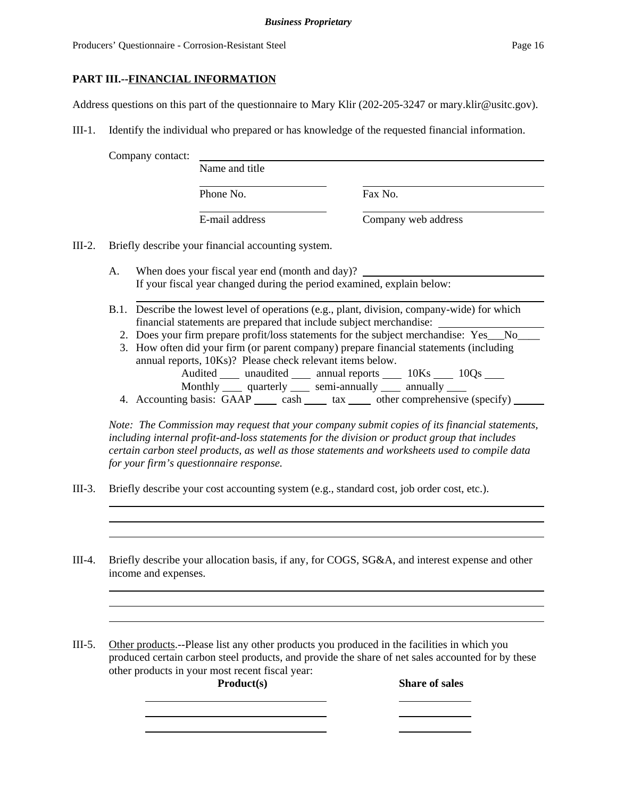## **PART III.--FINANCIAL INFORMATION**

Address questions on this part of the questionnaire to Mary Klir (202-205-3247 or mary.klir@usitc.gov).

III-1. Identify the individual who prepared or has knowledge of the requested financial information.

Company contact:

Phone No. **Fax No.** 

Name and title

E-mail address Company web address

III-2. Briefly describe your financial accounting system.

A. When does your fiscal year end (month and day)? If your fiscal year changed during the period examined, explain below:

- B.1. Describe the lowest level of operations (e.g., plant, division, company-wide) for which financial statements are prepared that include subject merchandise:
	- 2. Does your firm prepare profit/loss statements for the subject merchandise: Yes\_\_No\_\_
	- 3. How often did your firm (or parent company) prepare financial statements (including annual reports, 10Ks)? Please check relevant items below. Audited \_\_\_\_ unaudited \_\_\_\_ annual reports \_\_\_\_ 10Ks \_\_\_\_ 10Qs \_\_\_\_
	- Monthly quarterly semi-annually annually 4. Accounting basis:  $\overline{GAP}$  cash tax other comprehensive (specify)

*Note: The Commission may request that your company submit copies of its financial statements, including internal profit-and-loss statements for the division or product group that includes certain carbon steel products, as well as those statements and worksheets used to compile data for your firm's questionnaire response.*

- III-3. Briefly describe your cost accounting system (e.g., standard cost, job order cost, etc.).
- III-4. Briefly describe your allocation basis, if any, for COGS, SG&A, and interest expense and other income and expenses.

III-5. Other products.--Please list any other products you produced in the facilities in which you produced certain carbon steel products, and provide the share of net sales accounted for by these other products in your most recent fiscal year:

**Product(s)** Share of sales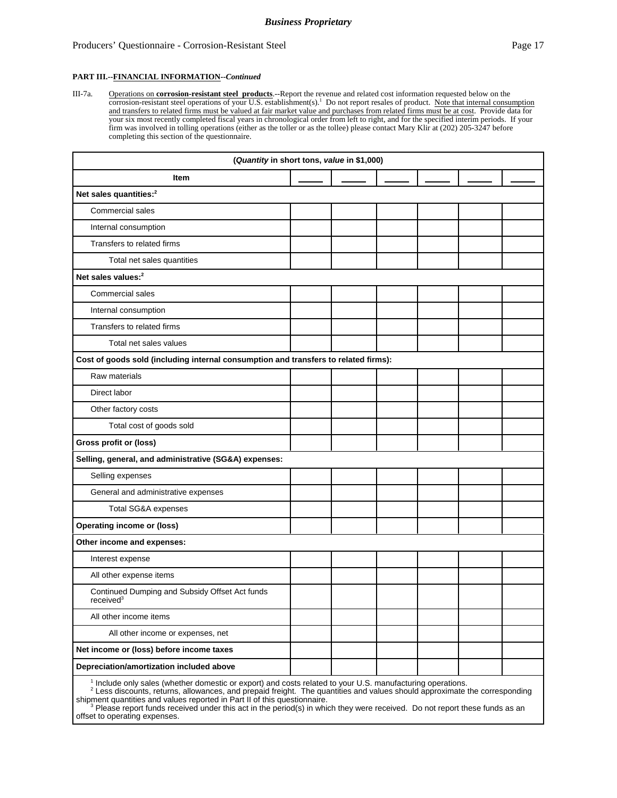#### Producers' Questionnaire - Corrosion-Resistant Steel Page 17

#### **PART III.--FINANCIAL INFORMATION--***Continued*

III-7a. **Operations on corrosion-resistant steel products** --Report the revenue and related cost information requested below on the corrosion-resistant steel operations of your U.S. establishment(s).<sup>1</sup> Do not report resal and transfers to related firms must be valued at fair market value and purchases from related firms must be at cost. Provide data for your six most recently completed fiscal years in chronological order from left to right, and for the specified interim periods. If your firm was involved in tolling operations (either as the toller or as the tollee) please contact Mary Klir at (202) 205-3247 before completing this section of the questionnaire.

| (Quantity in short tons, value in \$1,000)                                          |  |  |  |  |  |  |
|-------------------------------------------------------------------------------------|--|--|--|--|--|--|
| Item                                                                                |  |  |  |  |  |  |
| Net sales quantities: <sup>2</sup>                                                  |  |  |  |  |  |  |
| Commercial sales                                                                    |  |  |  |  |  |  |
| Internal consumption                                                                |  |  |  |  |  |  |
| Transfers to related firms                                                          |  |  |  |  |  |  |
| Total net sales quantities                                                          |  |  |  |  |  |  |
| Net sales values: <sup>2</sup>                                                      |  |  |  |  |  |  |
| <b>Commercial sales</b>                                                             |  |  |  |  |  |  |
| Internal consumption                                                                |  |  |  |  |  |  |
| Transfers to related firms                                                          |  |  |  |  |  |  |
| Total net sales values                                                              |  |  |  |  |  |  |
| Cost of goods sold (including internal consumption and transfers to related firms): |  |  |  |  |  |  |
| Raw materials                                                                       |  |  |  |  |  |  |
| Direct labor                                                                        |  |  |  |  |  |  |
| Other factory costs                                                                 |  |  |  |  |  |  |
| Total cost of goods sold                                                            |  |  |  |  |  |  |
| Gross profit or (loss)                                                              |  |  |  |  |  |  |
| Selling, general, and administrative (SG&A) expenses:                               |  |  |  |  |  |  |
| Selling expenses                                                                    |  |  |  |  |  |  |
| General and administrative expenses                                                 |  |  |  |  |  |  |
| Total SG&A expenses                                                                 |  |  |  |  |  |  |
| <b>Operating income or (loss)</b>                                                   |  |  |  |  |  |  |
| Other income and expenses:                                                          |  |  |  |  |  |  |
| Interest expense                                                                    |  |  |  |  |  |  |
| All other expense items                                                             |  |  |  |  |  |  |
| Continued Dumping and Subsidy Offset Act funds<br>received <sup>3</sup>             |  |  |  |  |  |  |
| All other income items                                                              |  |  |  |  |  |  |
| All other income or expenses, net                                                   |  |  |  |  |  |  |
| Net income or (loss) before income taxes                                            |  |  |  |  |  |  |
| Depreciation/amortization included above                                            |  |  |  |  |  |  |
|                                                                                     |  |  |  |  |  |  |

<sup>1</sup> Include only sales (whether domestic or export) and costs related to your U.S. manufacturing operations.<br><sup>2</sup> Less discounts, returns, allowances, and prepaid freight. The quantities and values should approximate the co shipment quantities and values reported in Part II of this questionnaire.<br><sup>3</sup> Please report funds received under this act in the period(s) in which they were received. Do not report these funds as an

offset to operating expenses.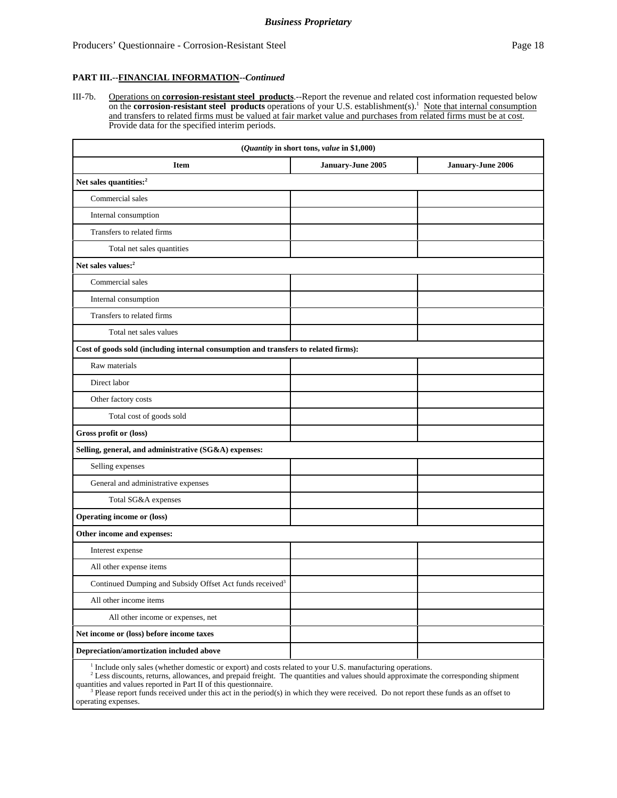#### **PART III.--FINANCIAL INFORMATION--***Continued*

III-7b. Operations on **corrosion-resistant steel products**.--Report the revenue and related cost information requested below on the **corrosion-resistant steel products** operations of your U.S. establishment(s).<sup>1</sup> Note that internal consumption and transfers to related firms must be valued at fair market value and purchases from related firms must be at cost. Provide data for the specified interim periods.

| (Quantity in short tons, value in \$1,000)                                          |                   |                   |  |  |  |  |
|-------------------------------------------------------------------------------------|-------------------|-------------------|--|--|--|--|
| <b>Item</b>                                                                         | January-June 2005 | January-June 2006 |  |  |  |  |
| Net sales quantities: <sup>2</sup>                                                  |                   |                   |  |  |  |  |
| Commercial sales                                                                    |                   |                   |  |  |  |  |
| Internal consumption                                                                |                   |                   |  |  |  |  |
| Transfers to related firms                                                          |                   |                   |  |  |  |  |
| Total net sales quantities                                                          |                   |                   |  |  |  |  |
| Net sales values: <sup>2</sup>                                                      |                   |                   |  |  |  |  |
| Commercial sales                                                                    |                   |                   |  |  |  |  |
| Internal consumption                                                                |                   |                   |  |  |  |  |
| Transfers to related firms                                                          |                   |                   |  |  |  |  |
| Total net sales values                                                              |                   |                   |  |  |  |  |
| Cost of goods sold (including internal consumption and transfers to related firms): |                   |                   |  |  |  |  |
| Raw materials                                                                       |                   |                   |  |  |  |  |
| Direct labor                                                                        |                   |                   |  |  |  |  |
| Other factory costs                                                                 |                   |                   |  |  |  |  |
| Total cost of goods sold                                                            |                   |                   |  |  |  |  |
| Gross profit or (loss)                                                              |                   |                   |  |  |  |  |
| Selling, general, and administrative (SG&A) expenses:                               |                   |                   |  |  |  |  |
| Selling expenses                                                                    |                   |                   |  |  |  |  |
| General and administrative expenses                                                 |                   |                   |  |  |  |  |
| Total SG&A expenses                                                                 |                   |                   |  |  |  |  |
| <b>Operating income or (loss)</b>                                                   |                   |                   |  |  |  |  |
| Other income and expenses:                                                          |                   |                   |  |  |  |  |
| Interest expense                                                                    |                   |                   |  |  |  |  |
| All other expense items                                                             |                   |                   |  |  |  |  |
| Continued Dumping and Subsidy Offset Act funds received <sup>3</sup>                |                   |                   |  |  |  |  |
| All other income items                                                              |                   |                   |  |  |  |  |
| All other income or expenses, net                                                   |                   |                   |  |  |  |  |
| Net income or (loss) before income taxes                                            |                   |                   |  |  |  |  |
| Depreciation/amortization included above                                            |                   |                   |  |  |  |  |

<sup>1</sup> Include only sales (whether domestic or export) and costs related to your U.S. manufacturing operations. <sup>2</sup> Less discounts, returns, allowances, and prepaid freight. The quantities and values should approximate to

Less discounts, returns, allowances, and prepaid freight. The quantities and values should approximate the corresponding shipment quantities and values reported in Part II of this questionnaire.

 $\frac{3}{3}$  Please report funds received under this act in the period(s) in which they were received. Do not report these funds as an offset to operating expenses.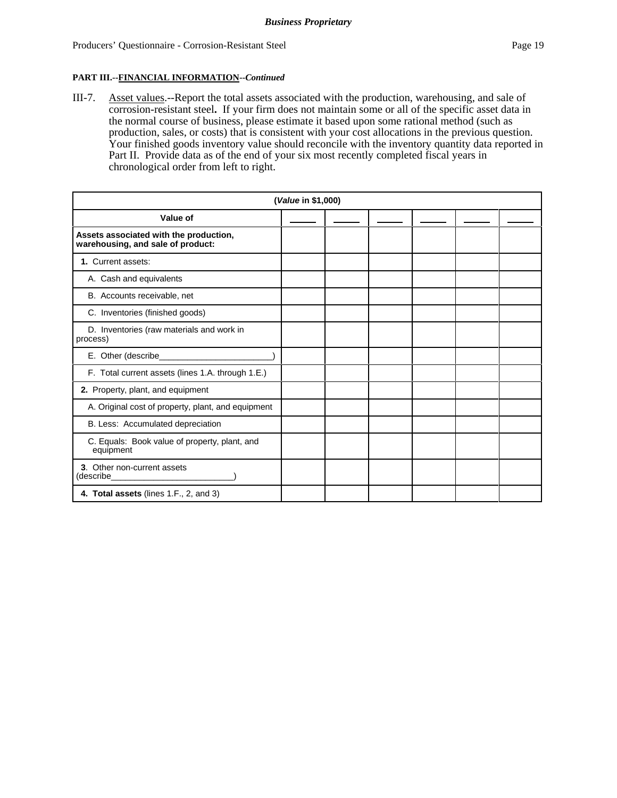#### **PART III.--FINANCIAL INFORMATION--***Continued*

III-7. Asset values.--Report the total assets associated with the production, warehousing, and sale of corrosion-resistant steel**.** If your firm does not maintain some or all of the specific asset data in the normal course of business, please estimate it based upon some rational method (such as production, sales, or costs) that is consistent with your cost allocations in the previous question. Your finished goods inventory value should reconcile with the inventory quantity data reported in Part II. Provide data as of the end of your six most recently completed fiscal years in chronological order from left to right.

| (Value in \$1,000)                                                          |  |  |  |  |  |  |  |
|-----------------------------------------------------------------------------|--|--|--|--|--|--|--|
| Value of                                                                    |  |  |  |  |  |  |  |
| Assets associated with the production,<br>warehousing, and sale of product: |  |  |  |  |  |  |  |
| 1. Current assets:                                                          |  |  |  |  |  |  |  |
| A. Cash and equivalents                                                     |  |  |  |  |  |  |  |
| B. Accounts receivable, net                                                 |  |  |  |  |  |  |  |
| C. Inventories (finished goods)                                             |  |  |  |  |  |  |  |
| D. Inventories (raw materials and work in<br>process)                       |  |  |  |  |  |  |  |
| E. Other (describe__________                                                |  |  |  |  |  |  |  |
| F. Total current assets (lines 1.A. through 1.E.)                           |  |  |  |  |  |  |  |
| 2. Property, plant, and equipment                                           |  |  |  |  |  |  |  |
| A. Original cost of property, plant, and equipment                          |  |  |  |  |  |  |  |
| B. Less: Accumulated depreciation                                           |  |  |  |  |  |  |  |
| C. Equals: Book value of property, plant, and<br>equipment                  |  |  |  |  |  |  |  |
| 3. Other non-current assets<br>(describe_                                   |  |  |  |  |  |  |  |
| 4. Total assets (lines 1.F., 2, and 3)                                      |  |  |  |  |  |  |  |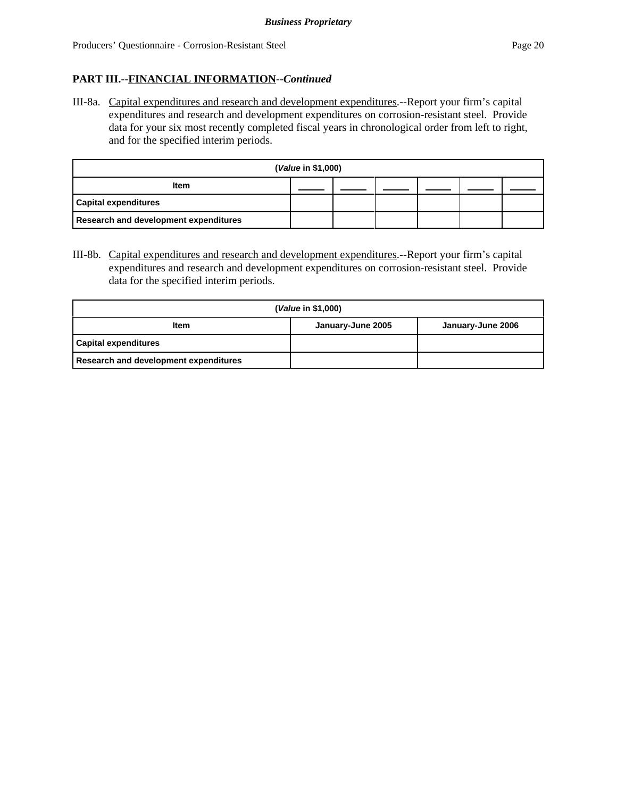## **PART III.--FINANCIAL INFORMATION--***Continued*

III-8a. Capital expenditures and research and development expenditures.--Report your firm's capital expenditures and research and development expenditures on corrosion-resistant steel. Provide data for your six most recently completed fiscal years in chronological order from left to right, and for the specified interim periods.

| (Value in \$1,000)                           |  |  |  |  |  |  |  |  |
|----------------------------------------------|--|--|--|--|--|--|--|--|
| <b>Item</b>                                  |  |  |  |  |  |  |  |  |
| <b>Capital expenditures</b>                  |  |  |  |  |  |  |  |  |
| <b>Research and development expenditures</b> |  |  |  |  |  |  |  |  |

III-8b. Capital expenditures and research and development expenditures.--Report your firm's capital expenditures and research and development expenditures on corrosion-resistant steel. Provide data for the specified interim periods.

|                                       | ( <i>Value</i> in \$1,000) |                   |
|---------------------------------------|----------------------------|-------------------|
| <b>Item</b>                           | January-June 2005          | January-June 2006 |
| <b>Capital expenditures</b>           |                            |                   |
| Research and development expenditures |                            |                   |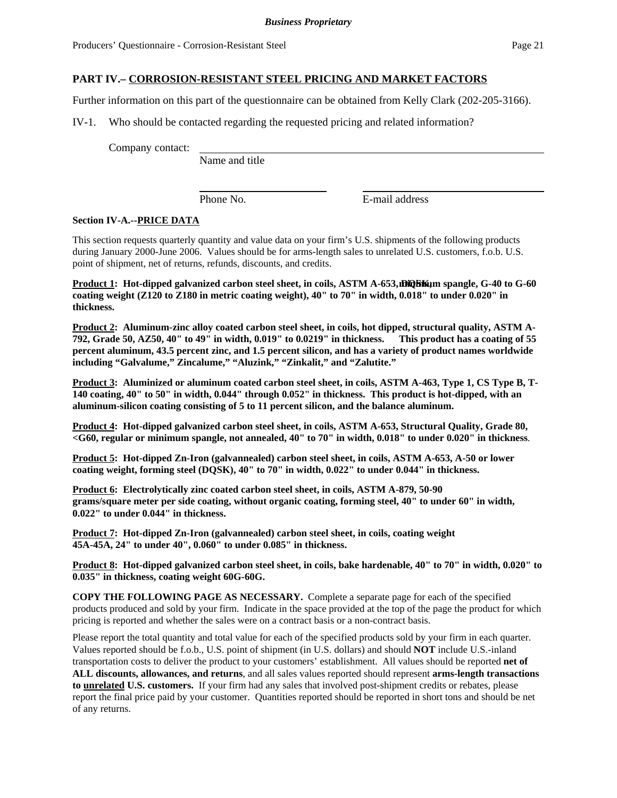Further information on this part of the questionnaire can be obtained from Kelly Clark (202-205-3166).

IV-1. Who should be contacted regarding the requested pricing and related information?

Company contact:

Name and title

Phone No. **E-mail address** 

#### **Section IV-A.--PRICE DATA**

This section requests quarterly quantity and value data on your firm's U.S. shipments of the following products during January 2000-June 2006. Values should be for arms-length sales to unrelated U.S. customers, f.o.b. U.S. point of shipment, net of returns, refunds, discounts, and credits.

**Product 1: Hot-dipped galvanized carbon steel sheet, in coils, ASTM A-653, DQSK im spangle, G-40 to G-60 coating weight (Z120 to Z180 in metric coating weight), 40" to 70" in width, 0.018" to under 0.020" in thickness.** 

**Product 2: Aluminum-zinc alloy coated carbon steel sheet, in coils, hot dipped, structural quality, ASTM A-792, Grade 50, AZ50, 40" to 49" in width, 0.019" to 0.0219" in thickness. This product has a coating of 55 percent aluminum, 43.5 percent zinc, and 1.5 percent silicon, and has a variety of product names worldwide including "Galvalume," Zincalume," "Aluzink," "Zinkalit," and "Zalutite."**

**Product 3: Aluminized or aluminum coated carbon steel sheet, in coils, ASTM A-463, Type 1, CS Type B, T-140 coating, 40" to 50" in width, 0.044" through 0.052" in thickness. This product is hot-dipped, with an aluminum-silicon coating consisting of 5 to 11 percent silicon, and the balance aluminum.** 

**Product 4: Hot-dipped galvanized carbon steel sheet, in coils, ASTM A-653, Structural Quality, Grade 80, <G60, regular or minimum spangle, not annealed, 40" to 70" in width, 0.018" to under 0.020" in thickness**.

**Product 5: Hot-dipped Zn-Iron (galvannealed) carbon steel sheet, in coils, ASTM A-653, A-50 or lower coating weight, forming steel (DQSK), 40" to 70" in width, 0.022" to under 0.044" in thickness.** 

**Product 6: Electrolytically zinc coated carbon steel sheet, in coils, ASTM A-879, 50-90 grams/square meter per side coating, without organic coating, forming steel, 40" to under 60" in width, 0.022" to under 0.044" in thickness.** 

**Product 7: Hot-dipped Zn-Iron (galvannealed) carbon steel sheet, in coils, coating weight 45A-45A, 24" to under 40", 0.060" to under 0.085" in thickness.** 

**Product 8: Hot-dipped galvanized carbon steel sheet, in coils, bake hardenable, 40" to 70" in width, 0.020" to 0.035" in thickness, coating weight 60G-60G.**

**COPY THE FOLLOWING PAGE AS NECESSARY.** Complete a separate page for each of the specified products produced and sold by your firm. Indicate in the space provided at the top of the page the product for which pricing is reported and whether the sales were on a contract basis or a non-contract basis.

Please report the total quantity and total value for each of the specified products sold by your firm in each quarter. Values reported should be f.o.b., U.S. point of shipment (in U.S. dollars) and should **NOT** include U.S.-inland transportation costs to deliver the product to your customers' establishment. All values should be reported **net of ALL discounts, allowances, and returns**, and all sales values reported should represent **arms-length transactions to unrelated U.S. customers.** If your firm had any sales that involved post-shipment credits or rebates, please report the final price paid by your customer. Quantities reported should be reported in short tons and should be net of any returns.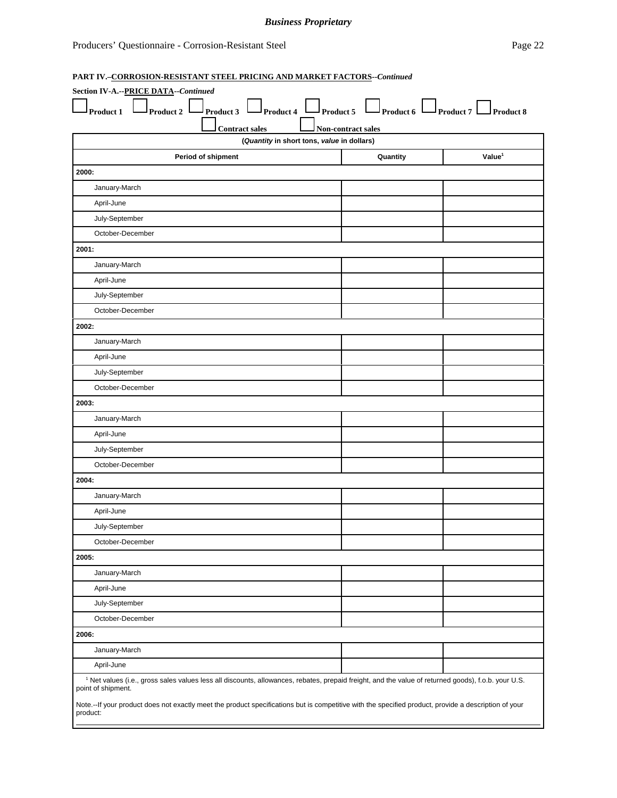## *Business Proprietary*

### **PART IV.–CORROSION-RESISTANT STEEL PRICING AND MARKET FACTORS--***Continued*

| $\mathsf{I}_{\text{Product 2}}$ L<br>Product 1 | $\Box$ Product 3 $\Box$ Product 4 $\Box$ Product 5 $\Box$ Product 6 $\Box$ Product 7 $\Box$ Product 8                                                          |
|------------------------------------------------|----------------------------------------------------------------------------------------------------------------------------------------------------------------|
| <b>Contract sales</b>                          | Non-contract sales                                                                                                                                             |
|                                                | (Quantity in short tons, value in dollars)                                                                                                                     |
| Period of shipment                             | Value <sup>1</sup><br>Quantity                                                                                                                                 |
| 2000:                                          |                                                                                                                                                                |
| January-March                                  |                                                                                                                                                                |
| April-June                                     |                                                                                                                                                                |
| July-September                                 |                                                                                                                                                                |
| October-December                               |                                                                                                                                                                |
| 2001:                                          |                                                                                                                                                                |
| January-March                                  |                                                                                                                                                                |
| April-June                                     |                                                                                                                                                                |
| July-September                                 |                                                                                                                                                                |
| October-December                               |                                                                                                                                                                |
| 2002:                                          |                                                                                                                                                                |
| January-March                                  |                                                                                                                                                                |
| April-June                                     |                                                                                                                                                                |
| July-September                                 |                                                                                                                                                                |
| October-December                               |                                                                                                                                                                |
| 2003:                                          |                                                                                                                                                                |
| January-March                                  |                                                                                                                                                                |
| April-June                                     |                                                                                                                                                                |
| July-September                                 |                                                                                                                                                                |
| October-December                               |                                                                                                                                                                |
| 2004:                                          |                                                                                                                                                                |
| January-March                                  |                                                                                                                                                                |
| April-June                                     |                                                                                                                                                                |
| July-September                                 |                                                                                                                                                                |
| October-December                               |                                                                                                                                                                |
| 2005:                                          |                                                                                                                                                                |
| January-March                                  |                                                                                                                                                                |
| April-June                                     |                                                                                                                                                                |
| July-September                                 |                                                                                                                                                                |
| October-December                               |                                                                                                                                                                |
| 2006:                                          |                                                                                                                                                                |
| January-March                                  |                                                                                                                                                                |
| April-June                                     |                                                                                                                                                                |
| point of shipment.                             | <sup>1</sup> Net values (i.e., gross sales values less all discounts, allowances, rebates, prepaid freight, and the value of returned goods), f.o.b. your U.S. |
| product:                                       | Note.--If your product does not exactly meet the product specifications but is competitive with the specified product, provide a description of your           |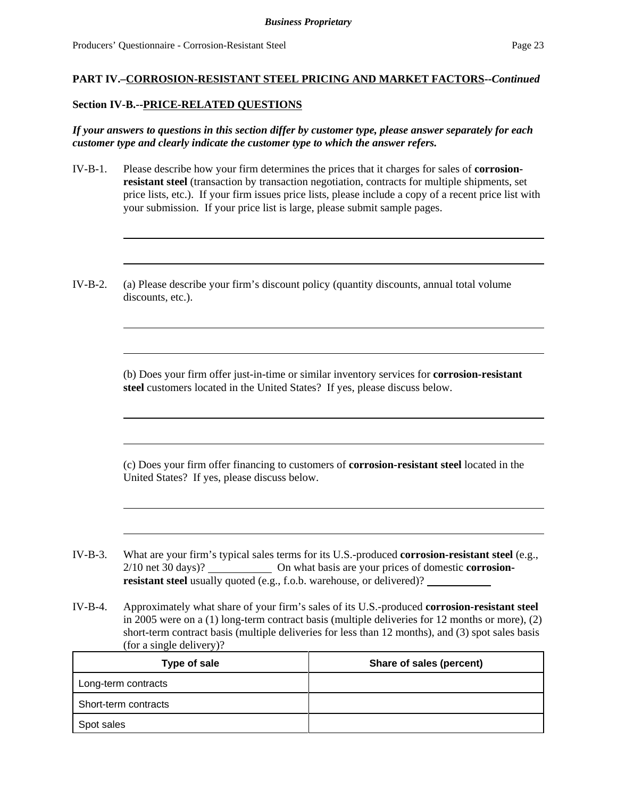#### **Section IV-B.--PRICE-RELATED QUESTIONS**

*If your answers to questions in this section differ by customer type, please answer separately for each customer type and clearly indicate the customer type to which the answer refers.* 

- IV-B-1. Please describe how your firm determines the prices that it charges for sales of **corrosionresistant steel** (transaction by transaction negotiation, contracts for multiple shipments, set price lists, etc.). If your firm issues price lists, please include a copy of a recent price list with your submission. If your price list is large, please submit sample pages.
- IV-B-2. (a) Please describe your firm's discount policy (quantity discounts, annual total volume discounts, etc.).

(b) Does your firm offer just-in-time or similar inventory services for **corrosion-resistant steel** customers located in the United States? If yes, please discuss below.

(c) Does your firm offer financing to customers of **corrosion-resistant steel** located in the United States? If yes, please discuss below.

IV-B-3. What are your firm's typical sales terms for its U.S.-produced **corrosion-resistant steel** (e.g., 2/10 net 30 days)? On what basis are your prices of domestic **corrosionresistant steel** usually quoted (e.g., f.o.b. warehouse, or delivered)?

IV-B-4. Approximately what share of your firm's sales of its U.S.-produced **corrosion-resistant steel** in 2005 were on a (1) long-term contract basis (multiple deliveries for 12 months or more), (2) short-term contract basis (multiple deliveries for less than 12 months), and (3) spot sales basis (for a single delivery)?

| Type of sale         | Share of sales (percent) |
|----------------------|--------------------------|
| Long-term contracts  |                          |
| Short-term contracts |                          |
| Spot sales           |                          |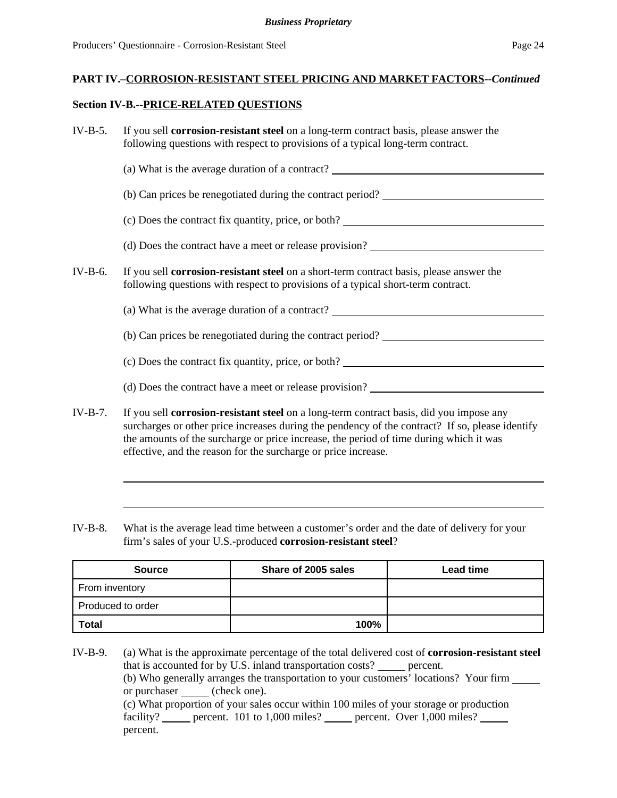#### **Section IV-B.--PRICE-RELATED QUESTIONS**

| $IV-B-5.$ | If you sell <b>corrosion-resistant steel</b> on a long-term contract basis, please answer the<br>following questions with respect to provisions of a typical long-term contract.                                                                                                                                                                              |
|-----------|---------------------------------------------------------------------------------------------------------------------------------------------------------------------------------------------------------------------------------------------------------------------------------------------------------------------------------------------------------------|
|           | (a) What is the average duration of a contract?                                                                                                                                                                                                                                                                                                               |
|           | (b) Can prices be renegotiated during the contract period?                                                                                                                                                                                                                                                                                                    |
|           | (c) Does the contract fix quantity, price, or both?                                                                                                                                                                                                                                                                                                           |
|           |                                                                                                                                                                                                                                                                                                                                                               |
| $IV-B-6.$ | If you sell <b>corrosion-resistant steel</b> on a short-term contract basis, please answer the<br>following questions with respect to provisions of a typical short-term contract.                                                                                                                                                                            |
|           | (a) What is the average duration of a contract?                                                                                                                                                                                                                                                                                                               |
|           | (b) Can prices be renegotiated during the contract period?                                                                                                                                                                                                                                                                                                    |
|           | (c) Does the contract fix quantity, price, or both? _____________________________                                                                                                                                                                                                                                                                             |
|           |                                                                                                                                                                                                                                                                                                                                                               |
| $IV-B-7.$ | If you sell <b>corrosion-resistant steel</b> on a long-term contract basis, did you impose any<br>surcharges or other price increases during the pendency of the contract? If so, please identify<br>the amounts of the surcharge or price increase, the period of time during which it was<br>effective, and the reason for the surcharge or price increase. |

IV-B-8. What is the average lead time between a customer's order and the date of delivery for your firm's sales of your U.S.-produced **corrosion-resistant steel**?

| <b>Source</b>     | Share of 2005 sales | <b>Lead time</b> |
|-------------------|---------------------|------------------|
| From inventory    |                     |                  |
| Produced to order |                     |                  |
| <b>Total</b>      | 100%                |                  |

IV-B-9. (a) What is the approximate percentage of the total delivered cost of **corrosion-resistant steel** that is accounted for by U.S. inland transportation costs? percent. (b) Who generally arranges the transportation to your customers' locations? Your firm or purchaser \_\_\_\_\_ (check one). (c) What proportion of your sales occur within 100 miles of your storage or production facility? percent. 101 to 1,000 miles? percent. Over 1,000 miles? percent.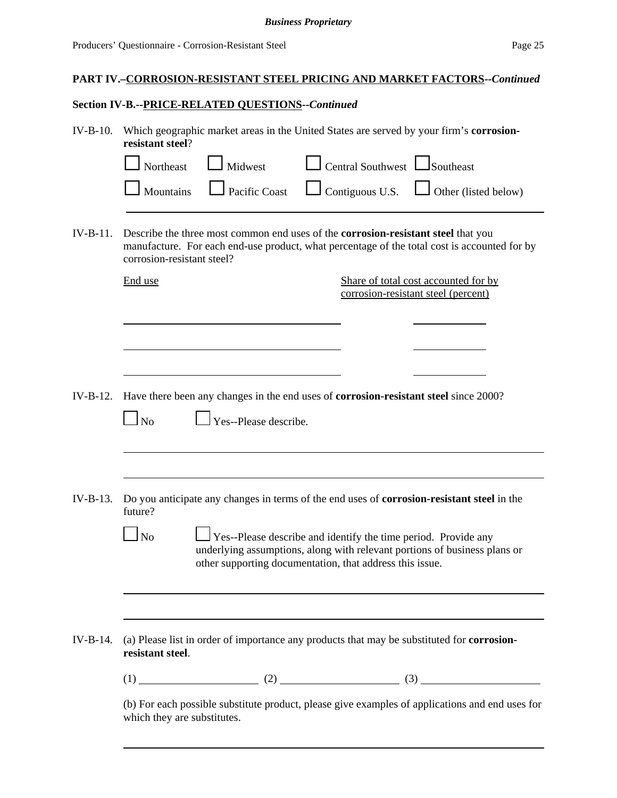## **Section IV-B.--PRICE-RELATED QUESTIONS--***Continued*

| $IV-B-10.$ | Which geographic market areas in the United States are served by your firm's corrosion-<br>resistant steel?                                                                                                            |                                                                                                                                             |
|------------|------------------------------------------------------------------------------------------------------------------------------------------------------------------------------------------------------------------------|---------------------------------------------------------------------------------------------------------------------------------------------|
|            | $\mathsf{I}$ Midwest<br>Northeast                                                                                                                                                                                      | $\Box$ Central Southwest $\Box$ Southeast                                                                                                   |
|            | Pacific Coast<br>Mountains                                                                                                                                                                                             | $\Box$ Contiguous U.S. $\Box$ Other (listed below)                                                                                          |
| $IV-B-11.$ | Describe the three most common end uses of the <b>corrosion-resistant steel</b> that you<br>manufacture. For each end-use product, what percentage of the total cost is accounted for by<br>corrosion-resistant steel? |                                                                                                                                             |
|            | End use                                                                                                                                                                                                                | Share of total cost accounted for by<br>corrosion-resistant steel (percent)                                                                 |
|            |                                                                                                                                                                                                                        |                                                                                                                                             |
| $IV-B-12.$ | Have there been any changes in the end uses of corrosion-resistant steel since 2000?<br>$\overline{N}$<br>Yes--Please describe.                                                                                        |                                                                                                                                             |
| $IV-B-13.$ | Do you anticipate any changes in terms of the end uses of <b>corrosion-resistant steel</b> in the<br>future?                                                                                                           |                                                                                                                                             |
|            | <b>No</b><br>other supporting documentation, that address this issue.                                                                                                                                                  | Yes--Please describe and identify the time period. Provide any<br>underlying assumptions, along with relevant portions of business plans or |
| $IV-B-14.$ | (a) Please list in order of importance any products that may be substituted for <b>corrosion-</b>                                                                                                                      |                                                                                                                                             |
|            | resistant steel.                                                                                                                                                                                                       |                                                                                                                                             |
|            |                                                                                                                                                                                                                        |                                                                                                                                             |
|            | (b) For each possible substitute product, please give examples of applications and end uses for<br>which they are substitutes.                                                                                         |                                                                                                                                             |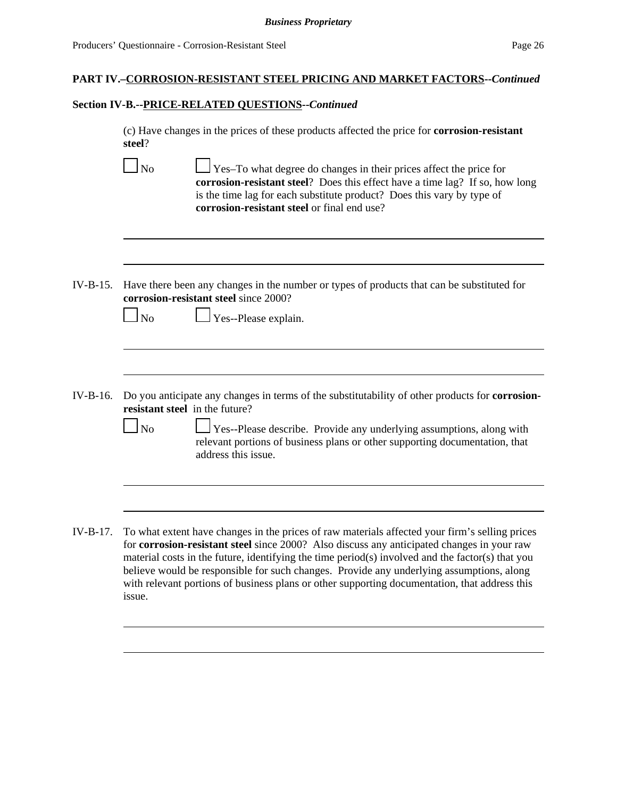issue.

# **PART IV.–CORROSION-RESISTANT STEEL PRICING AND MARKET FACTORS--***Continued*

#### **Section IV-B.--PRICE-RELATED QUESTIONS--***Continued*

(c) Have changes in the prices of these products affected the price for **corrosion-resistant steel**?

|            | N <sub>o</sub> | Yes-To what degree do changes in their prices affect the price for<br>corrosion-resistant steel? Does this effect have a time lag? If so, how long<br>is the time lag for each substitute product? Does this vary by type of<br>corrosion-resistant steel or final end use?                                                                                                                                                                                                                   |
|------------|----------------|-----------------------------------------------------------------------------------------------------------------------------------------------------------------------------------------------------------------------------------------------------------------------------------------------------------------------------------------------------------------------------------------------------------------------------------------------------------------------------------------------|
|            |                |                                                                                                                                                                                                                                                                                                                                                                                                                                                                                               |
| $IV-B-15.$ |                | Have there been any changes in the number or types of products that can be substituted for<br>corrosion-resistant steel since 2000?                                                                                                                                                                                                                                                                                                                                                           |
|            | <b>No</b>      | Yes--Please explain.                                                                                                                                                                                                                                                                                                                                                                                                                                                                          |
|            |                |                                                                                                                                                                                                                                                                                                                                                                                                                                                                                               |
| IV-B-16.   |                | Do you anticipate any changes in terms of the substitutability of other products for <b>corrosion-</b><br>resistant steel in the future?                                                                                                                                                                                                                                                                                                                                                      |
|            | N <sub>o</sub> | Yes--Please describe. Provide any underlying assumptions, along with<br>relevant portions of business plans or other supporting documentation, that<br>address this issue.                                                                                                                                                                                                                                                                                                                    |
|            |                |                                                                                                                                                                                                                                                                                                                                                                                                                                                                                               |
| IV-B-17.   |                | To what extent have changes in the prices of raw materials affected your firm's selling prices<br>for corrosion-resistant steel since 2000? Also discuss any anticipated changes in your raw<br>material costs in the future, identifying the time period(s) involved and the factor(s) that you<br>believe would be responsible for such changes. Provide any underlying assumptions, along<br>with relevant portions of business plans or other supporting documentation, that address this |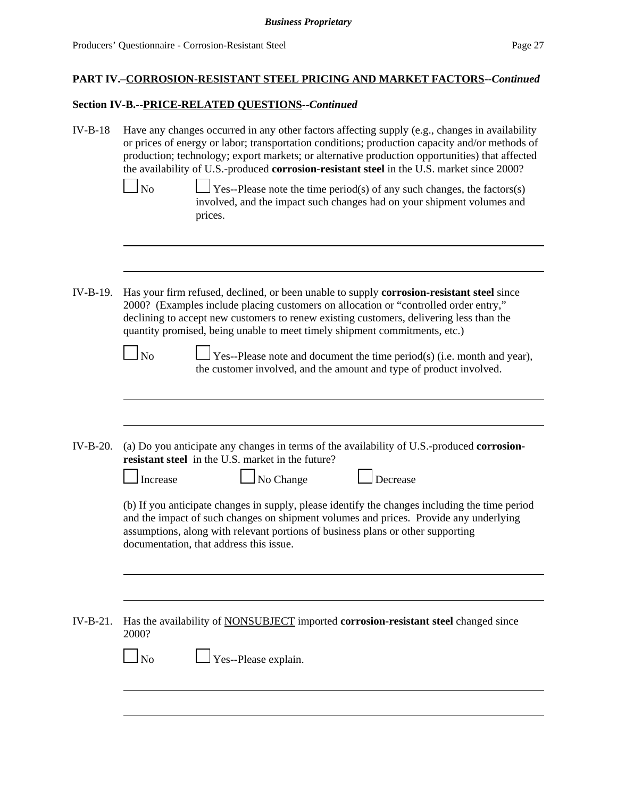## **Section IV-B.--PRICE-RELATED QUESTIONS--***Continued*

| $IV-B-18$  | Have any changes occurred in any other factors affecting supply (e.g., changes in availability<br>or prices of energy or labor; transportation conditions; production capacity and/or methods of<br>production; technology; export markets; or alternative production opportunities) that affected<br>the availability of U.S.-produced corrosion-resistant steel in the U.S. market since 2000?<br>N <sub>o</sub><br>Yes--Please note the time period(s) of any such changes, the factors(s)<br>involved, and the impact such changes had on your shipment volumes and<br>prices. |
|------------|------------------------------------------------------------------------------------------------------------------------------------------------------------------------------------------------------------------------------------------------------------------------------------------------------------------------------------------------------------------------------------------------------------------------------------------------------------------------------------------------------------------------------------------------------------------------------------|
| $IV-B-19.$ | Has your firm refused, declined, or been unable to supply <b>corrosion-resistant steel</b> since<br>2000? (Examples include placing customers on allocation or "controlled order entry,"<br>declining to accept new customers to renew existing customers, delivering less than the<br>quantity promised, being unable to meet timely shipment commitments, etc.)                                                                                                                                                                                                                  |
|            | $\log$<br>Yes--Please note and document the time period(s) (i.e. month and year),<br>the customer involved, and the amount and type of product involved.                                                                                                                                                                                                                                                                                                                                                                                                                           |
| IV-B-20.   | (a) Do you anticipate any changes in terms of the availability of U.S.-produced corrosion-<br>resistant steel in the U.S. market in the future?<br>No Change<br>Decrease<br>Increase                                                                                                                                                                                                                                                                                                                                                                                               |
|            | (b) If you anticipate changes in supply, please identify the changes including the time period<br>and the impact of such changes on shipment volumes and prices. Provide any underlying<br>assumptions, along with relevant portions of business plans or other supporting<br>documentation, that address this issue.                                                                                                                                                                                                                                                              |
| $IV-B-21.$ | Has the availability of <b>NONSUBJECT</b> imported <b>corrosion-resistant steel</b> changed since<br>2000?                                                                                                                                                                                                                                                                                                                                                                                                                                                                         |
|            | $\Box$ No<br>Yes--Please explain.                                                                                                                                                                                                                                                                                                                                                                                                                                                                                                                                                  |
|            |                                                                                                                                                                                                                                                                                                                                                                                                                                                                                                                                                                                    |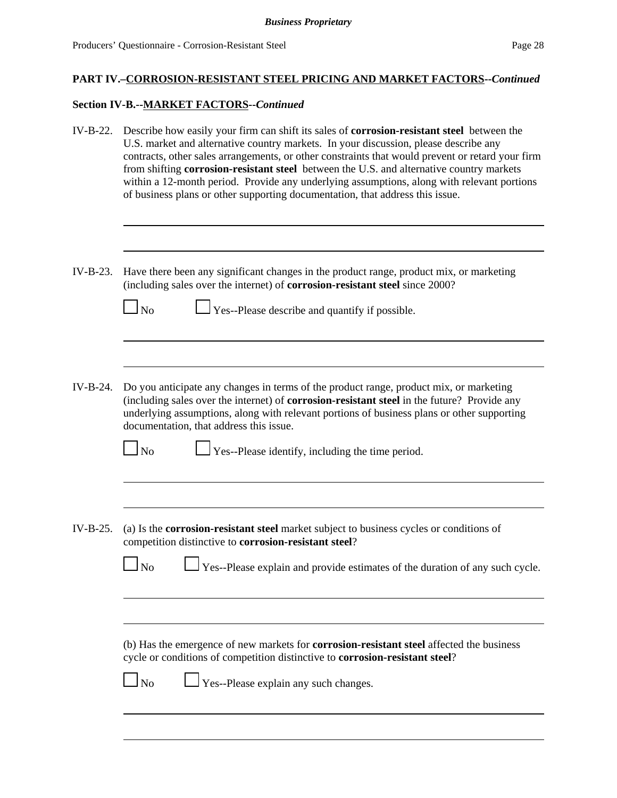## **Section IV-B.--MARKET FACTORS--***Continued*

| IV-B-22.   | Describe how easily your firm can shift its sales of <b>corrosion-resistant steel</b> between the<br>U.S. market and alternative country markets. In your discussion, please describe any<br>contracts, other sales arrangements, or other constraints that would prevent or retard your firm<br>from shifting corrosion-resistant steel between the U.S. and alternative country markets<br>within a 12-month period. Provide any underlying assumptions, along with relevant portions<br>of business plans or other supporting documentation, that address this issue. |
|------------|--------------------------------------------------------------------------------------------------------------------------------------------------------------------------------------------------------------------------------------------------------------------------------------------------------------------------------------------------------------------------------------------------------------------------------------------------------------------------------------------------------------------------------------------------------------------------|
| $IV-B-23.$ | Have there been any significant changes in the product range, product mix, or marketing<br>(including sales over the internet) of corrosion-resistant steel since 2000?<br>$\Box$ Yes--Please describe and quantify if possible.<br>$\log$                                                                                                                                                                                                                                                                                                                               |
| $IV-B-24.$ | Do you anticipate any changes in terms of the product range, product mix, or marketing<br>(including sales over the internet) of corrosion-resistant steel in the future? Provide any<br>underlying assumptions, along with relevant portions of business plans or other supporting<br>documentation, that address this issue.<br>$\Gamma$ Yes--Please identify, including the time period.<br>$\Box$ No                                                                                                                                                                 |
| $IV-B-25.$ | (a) Is the corrosion-resistant steel market subject to business cycles or conditions of<br>competition distinctive to corrosion-resistant steel?<br>Yes--Please explain and provide estimates of the duration of any such cycle.<br>N <sub>o</sub>                                                                                                                                                                                                                                                                                                                       |
|            | (b) Has the emergence of new markets for <b>corrosion-resistant steel</b> affected the business<br>cycle or conditions of competition distinctive to corrosion-resistant steel?<br>$\perp$ Yes--Please explain any such changes.<br>$\Box$ No                                                                                                                                                                                                                                                                                                                            |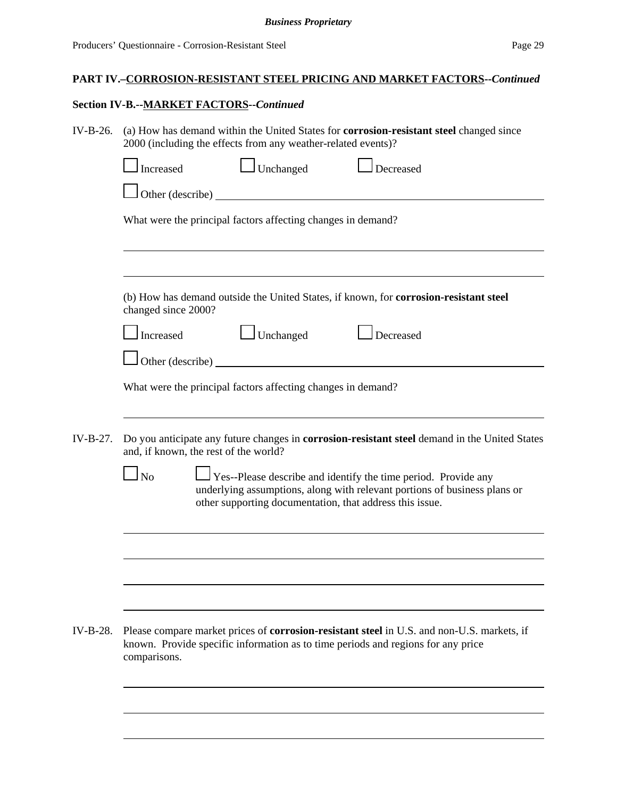## **Section IV-B.--MARKET FACTORS--***Continued*

| IV-B-26.   | (a) How has demand within the United States for <b>corrosion-resistant steel</b> changed since<br>2000 (including the effects from any weather-related events)?                                                      |
|------------|----------------------------------------------------------------------------------------------------------------------------------------------------------------------------------------------------------------------|
|            | Unchanged<br>$\Box$ Decreased<br>Increased                                                                                                                                                                           |
|            |                                                                                                                                                                                                                      |
|            | What were the principal factors affecting changes in demand?                                                                                                                                                         |
|            | (b) How has demand outside the United States, if known, for corrosion-resistant steel<br>changed since 2000?<br>$\Box$ Unchanged<br>Increased<br>Decreased                                                           |
|            | Other (describe)                                                                                                                                                                                                     |
|            | What were the principal factors affecting changes in demand?                                                                                                                                                         |
| $IV-B-27.$ | Do you anticipate any future changes in corrosion-resistant steel demand in the United States<br>and, if known, the rest of the world?                                                                               |
|            | <b>No</b><br>Yes--Please describe and identify the time period. Provide any<br>underlying assumptions, along with relevant portions of business plans or<br>other supporting documentation, that address this issue. |
|            |                                                                                                                                                                                                                      |
|            |                                                                                                                                                                                                                      |
|            |                                                                                                                                                                                                                      |
| $IV-B-28.$ | Please compare market prices of <b>corrosion-resistant steel</b> in U.S. and non-U.S. markets, if<br>known. Provide specific information as to time periods and regions for any price<br>comparisons.                |
|            |                                                                                                                                                                                                                      |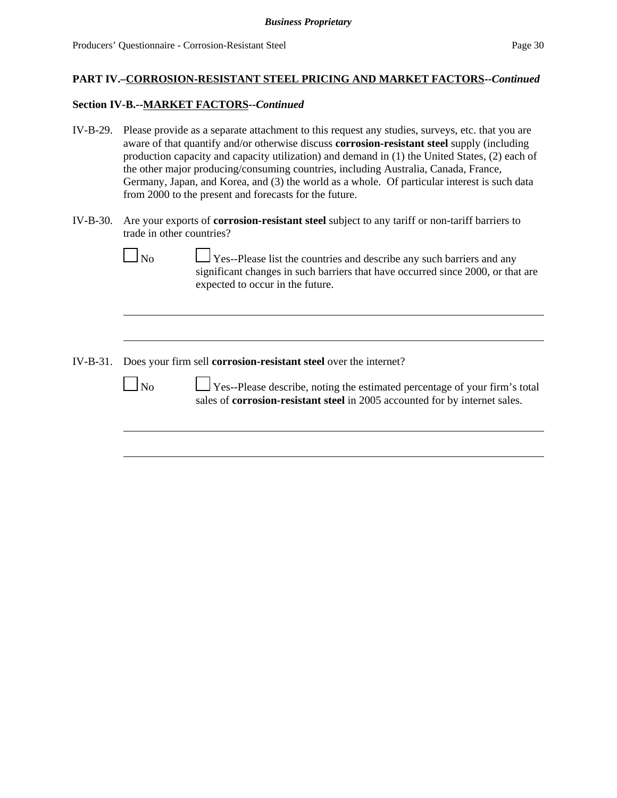#### **Section IV-B.--MARKET FACTORS--***Continued*

- IV-B-29. Please provide as a separate attachment to this request any studies, surveys, etc. that you are aware of that quantify and/or otherwise discuss **corrosion-resistant steel** supply (including production capacity and capacity utilization) and demand in (1) the United States, (2) each of the other major producing/consuming countries, including Australia, Canada, France, Germany, Japan, and Korea, and (3) the world as a whole. Of particular interest is such data from 2000 to the present and forecasts for the future.
- IV-B-30. Are your exports of **corrosion-resistant steel** subject to any tariff or non-tariff barriers to trade in other countries?

|--|--|

 $\Box$  Yes--Please list the countries and describe any such barriers and any significant changes in such barriers that have occurred since 2000, or that are expected to occur in the future.

IV-B-31. Does your firm sell **corrosion-resistant steel** over the internet?

|--|

 $\Box$  Yes--Please describe, noting the estimated percentage of your firm's total sales of **corrosion-resistant steel** in 2005 accounted for by internet sales.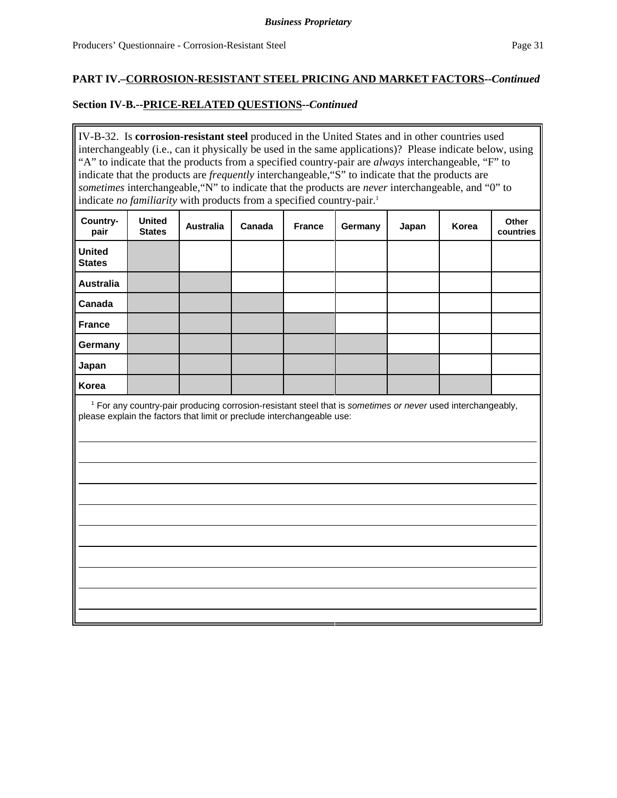### **Section IV-B.--PRICE-RELATED QUESTIONS--***Continued*

IV-B-32. Is **corrosion-resistant steel** produced in the United States and in other countries used interchangeably (i.e., can it physically be used in the same applications)? Please indicate below, using "A" to indicate that the products from a specified country-pair are *always* interchangeable, "F" to indicate that the products are *frequently* interchangeable,"S" to indicate that the products are *sometimes* interchangeable,"N" to indicate that the products are *never* interchangeable, and "0" to indicate *no familiarity* with products from a specified country-pair.<sup>1</sup>

| Country-<br>pair               | <b>United</b><br><b>States</b> | <b>Australia</b> | Canada | <b>France</b> | Germany | Japan | Korea | Other<br>countries |
|--------------------------------|--------------------------------|------------------|--------|---------------|---------|-------|-------|--------------------|
| <b>United</b><br><b>States</b> |                                |                  |        |               |         |       |       |                    |
| <b>Australia</b>               |                                |                  |        |               |         |       |       |                    |
| Canada                         |                                |                  |        |               |         |       |       |                    |
| <b>France</b>                  |                                |                  |        |               |         |       |       |                    |
| Germany                        |                                |                  |        |               |         |       |       |                    |
| Japan                          |                                |                  |        |               |         |       |       |                    |
| Korea                          |                                |                  |        |               |         |       |       |                    |

 1 For any country-pair producing corrosion-resistant steel that is *sometimes or never* used interchangeably, please explain the factors that limit or preclude interchangeable use: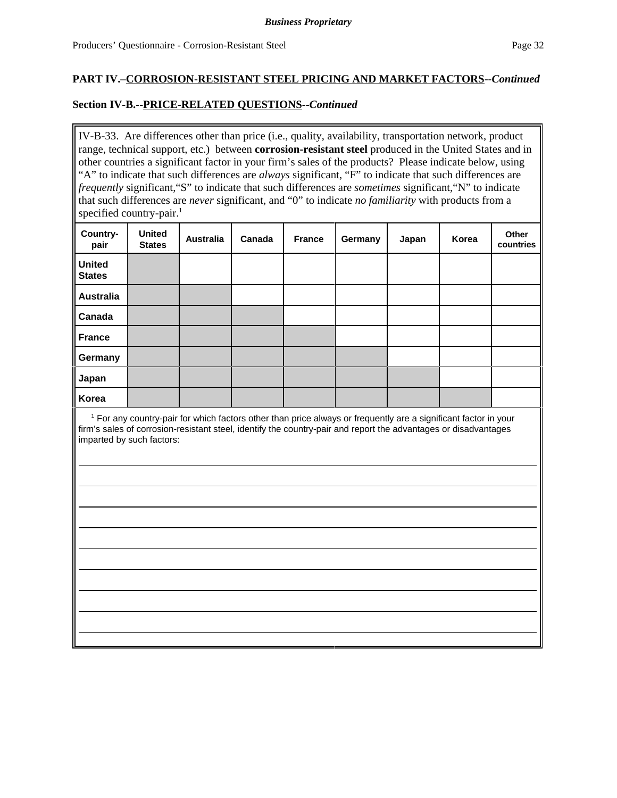### **Section IV-B.--PRICE-RELATED QUESTIONS--***Continued*

IV-B-33. Are differences other than price (i.e., quality, availability, transportation network, product range, technical support, etc.) between **corrosion-resistant steel** produced in the United States and in other countries a significant factor in your firm's sales of the products? Please indicate below, using "A" to indicate that such differences are *always* significant, "F" to indicate that such differences are *frequently* significant,"S" to indicate that such differences are *sometimes* significant,"N" to indicate that such differences are *never* significant, and "0" to indicate *no familiarity* with products from a specified country-pair.<sup>1</sup>

| Country-<br>pair               | <b>United</b><br><b>States</b> | <b>Australia</b> | Canada | <b>France</b> | Germany | Japan | Korea | Other<br>countries |
|--------------------------------|--------------------------------|------------------|--------|---------------|---------|-------|-------|--------------------|
| <b>United</b><br><b>States</b> |                                |                  |        |               |         |       |       |                    |
| <b>Australia</b>               |                                |                  |        |               |         |       |       |                    |
| Canada                         |                                |                  |        |               |         |       |       |                    |
| <b>France</b>                  |                                |                  |        |               |         |       |       |                    |
| Germany                        |                                |                  |        |               |         |       |       |                    |
| Japan                          |                                |                  |        |               |         |       |       |                    |
| Korea                          |                                |                  |        |               |         |       |       |                    |

 1 For any country-pair for which factors other than price always or frequently are a significant factor in your firm's sales of corrosion-resistant steel, identify the country-pair and report the advantages or disadvantages imparted by such factors: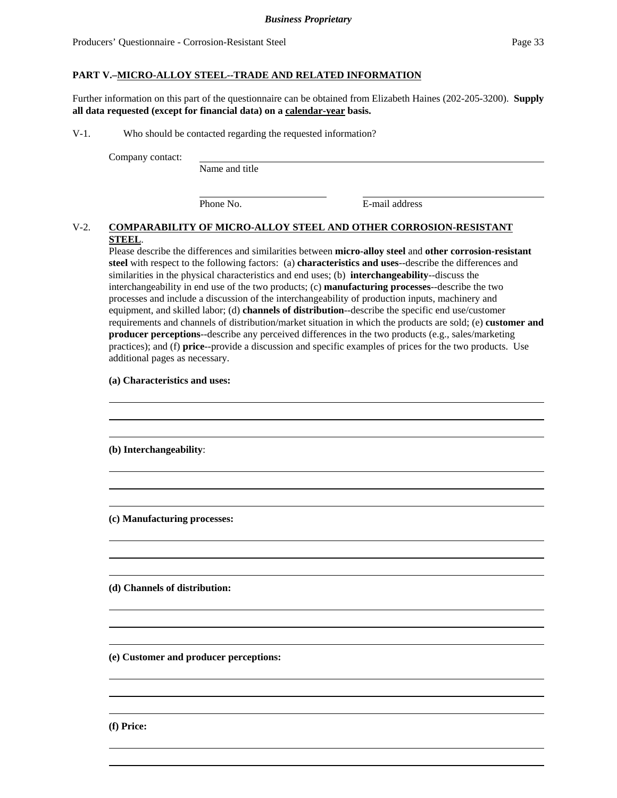#### **PART V.–MICRO-ALLOY STEEL--TRADE AND RELATED INFORMATION**

Further information on this part of the questionnaire can be obtained from Elizabeth Haines (202-205-3200). **Supply all data requested (except for financial data) on a calendar-year basis.**

V-1. Who should be contacted regarding the requested information?

Company contact:

Name and title

Phone No. **E-mail address** 

### V-2. **COMPARABILITY OF MICRO-ALLOY STEEL AND OTHER CORROSION-RESISTANT STEEL**.

Please describe the differences and similarities between **micro-alloy steel** and **other corrosion-resistant steel** with respect to the following factors: (a) **characteristics and uses**--describe the differences and similarities in the physical characteristics and end uses; (b) **interchangeability**--discuss the interchangeability in end use of the two products; (c) **manufacturing processes**--describe the two processes and include a discussion of the interchangeability of production inputs, machinery and equipment, and skilled labor; (d) **channels of distribution**--describe the specific end use/customer requirements and channels of distribution/market situation in which the products are sold; (e) **customer and producer perceptions**--describe any perceived differences in the two products (e.g., sales/marketing practices); and (f) **price**--provide a discussion and specific examples of prices for the two products. Use additional pages as necessary.

> 

> 

> 

> 

> 

> 

#### **(a) Characteristics and uses:**

**(b) Interchangeability**:

**(c) Manufacturing processes:**

**(d) Channels of distribution:**

**(e) Customer and producer perceptions:**

**(f) Price:**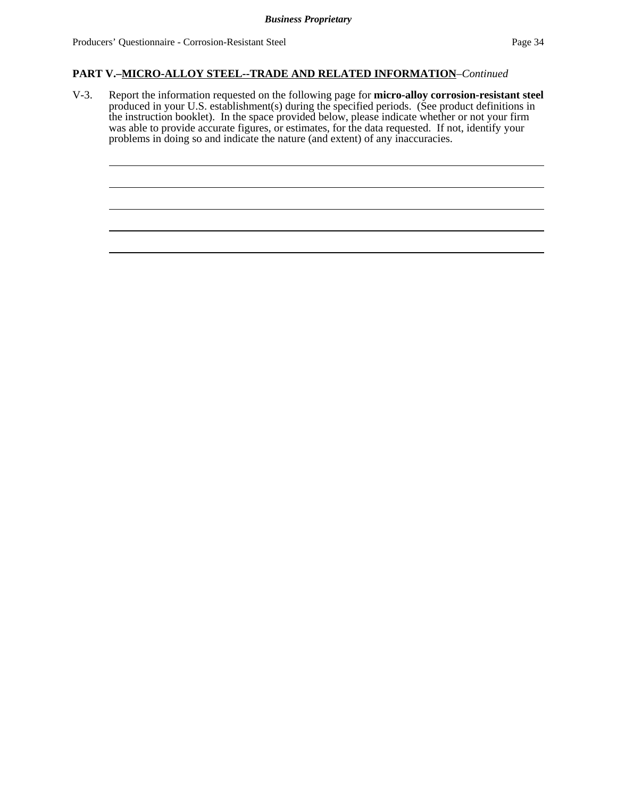## **PART V.–MICRO-ALLOY STEEL--TRADE AND RELATED INFORMATION**–*Continued*

V-3. Report the information requested on the following page for **micro-alloy corrosion-resistant steel** produced in your U.S. establishment(s) during the specified periods. (See product definitions in the instruction booklet). In the space provided below, please indicate whether or not your firm was able to provide accurate figures, or estimates, for the data requested. If not, identify your problems in doing so and indicate the nature (and extent) of any inaccuracies.